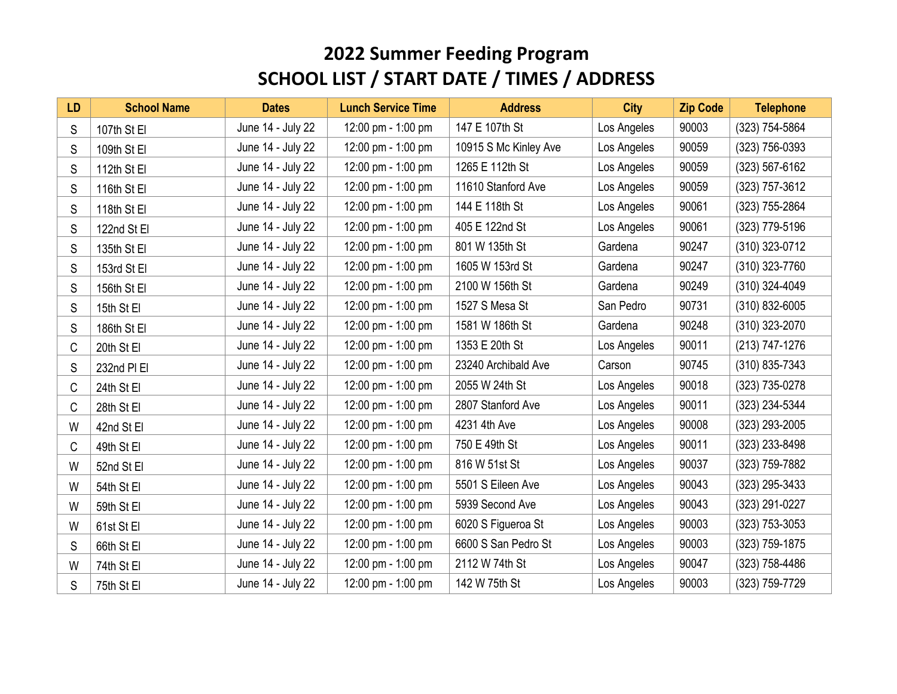| <b>LD</b> | <b>School Name</b> | <b>Dates</b>      | <b>Lunch Service Time</b> | <b>Address</b>        | <b>City</b> | <b>Zip Code</b> | <b>Telephone</b> |
|-----------|--------------------|-------------------|---------------------------|-----------------------|-------------|-----------------|------------------|
| S         | 107th St El        | June 14 - July 22 | 12:00 pm - 1:00 pm        | 147 E 107th St        | Los Angeles | 90003           | (323) 754-5864   |
| S         | 109th St El        | June 14 - July 22 | 12:00 pm - 1:00 pm        | 10915 S Mc Kinley Ave | Los Angeles | 90059           | (323) 756-0393   |
| S         | 112th St El        | June 14 - July 22 | 12:00 pm - 1:00 pm        | 1265 E 112th St       | Los Angeles | 90059           | (323) 567-6162   |
| S         | 116th St El        | June 14 - July 22 | 12:00 pm - 1:00 pm        | 11610 Stanford Ave    | Los Angeles | 90059           | (323) 757-3612   |
| S         | 118th St El        | June 14 - July 22 | 12:00 pm - 1:00 pm        | 144 E 118th St        | Los Angeles | 90061           | (323) 755-2864   |
| S         | 122nd St El        | June 14 - July 22 | 12:00 pm - 1:00 pm        | 405 E 122nd St        | Los Angeles | 90061           | (323) 779-5196   |
| S         | 135th St El        | June 14 - July 22 | 12:00 pm - 1:00 pm        | 801 W 135th St        | Gardena     | 90247           | (310) 323-0712   |
| S         | 153rd St El        | June 14 - July 22 | 12:00 pm - 1:00 pm        | 1605 W 153rd St       | Gardena     | 90247           | (310) 323-7760   |
| S         | 156th St El        | June 14 - July 22 | 12:00 pm - 1:00 pm        | 2100 W 156th St       | Gardena     | 90249           | (310) 324-4049   |
| S         | 15th St El         | June 14 - July 22 | 12:00 pm - 1:00 pm        | 1527 S Mesa St        | San Pedro   | 90731           | (310) 832-6005   |
| S         | 186th St El        | June 14 - July 22 | 12:00 pm - 1:00 pm        | 1581 W 186th St       | Gardena     | 90248           | (310) 323-2070   |
| C         | 20th St El         | June 14 - July 22 | 12:00 pm - 1:00 pm        | 1353 E 20th St        | Los Angeles | 90011           | (213) 747-1276   |
| S         | 232nd PI EI        | June 14 - July 22 | 12:00 pm - 1:00 pm        | 23240 Archibald Ave   | Carson      | 90745           | (310) 835-7343   |
| C         | 24th St El         | June 14 - July 22 | 12:00 pm - 1:00 pm        | 2055 W 24th St        | Los Angeles | 90018           | (323) 735-0278   |
| C         | 28th St El         | June 14 - July 22 | 12:00 pm - 1:00 pm        | 2807 Stanford Ave     | Los Angeles | 90011           | (323) 234-5344   |
| W         | 42nd St El         | June 14 - July 22 | 12:00 pm - 1:00 pm        | 4231 4th Ave          | Los Angeles | 90008           | (323) 293-2005   |
| C         | 49th St El         | June 14 - July 22 | 12:00 pm - 1:00 pm        | 750 E 49th St         | Los Angeles | 90011           | (323) 233-8498   |
| W         | 52nd St El         | June 14 - July 22 | 12:00 pm - 1:00 pm        | 816 W 51st St         | Los Angeles | 90037           | (323) 759-7882   |
| W         | 54th St El         | June 14 - July 22 | 12:00 pm - 1:00 pm        | 5501 S Eileen Ave     | Los Angeles | 90043           | (323) 295-3433   |
| W         | 59th St El         | June 14 - July 22 | 12:00 pm - 1:00 pm        | 5939 Second Ave       | Los Angeles | 90043           | (323) 291-0227   |
| W         | 61st St El         | June 14 - July 22 | 12:00 pm - 1:00 pm        | 6020 S Figueroa St    | Los Angeles | 90003           | (323) 753-3053   |
| S         | 66th St El         | June 14 - July 22 | 12:00 pm - 1:00 pm        | 6600 S San Pedro St   | Los Angeles | 90003           | (323) 759-1875   |
| W         | 74th St El         | June 14 - July 22 | 12:00 pm - 1:00 pm        | 2112 W 74th St        | Los Angeles | 90047           | (323) 758-4486   |
| S         | 75th St El         | June 14 - July 22 | 12:00 pm - 1:00 pm        | 142 W 75th St         | Los Angeles | 90003           | (323) 759-7729   |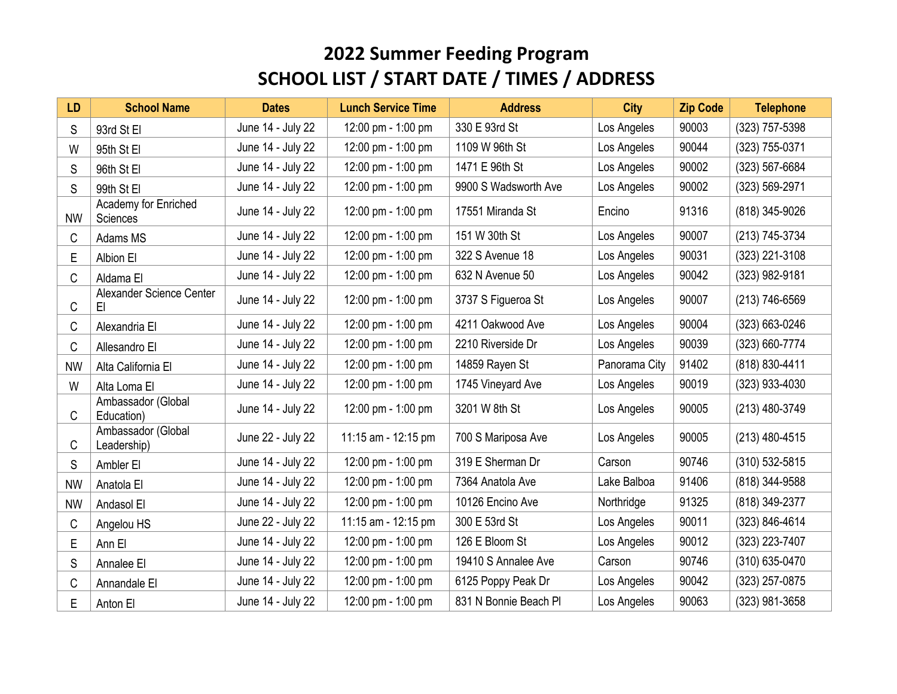| <b>LD</b> | <b>School Name</b>                | <b>Dates</b>      | <b>Lunch Service Time</b> | <b>Address</b>        | <b>City</b>   | <b>Zip Code</b> | <b>Telephone</b> |
|-----------|-----------------------------------|-------------------|---------------------------|-----------------------|---------------|-----------------|------------------|
| S         | 93rd St El                        | June 14 - July 22 | 12:00 pm - 1:00 pm        | 330 E 93rd St         | Los Angeles   | 90003           | (323) 757-5398   |
| W         | 95th St El                        | June 14 - July 22 | 12:00 pm - 1:00 pm        | 1109 W 96th St        | Los Angeles   | 90044           | (323) 755-0371   |
| S         | 96th St El                        | June 14 - July 22 | 12:00 pm - 1:00 pm        | 1471 E 96th St        | Los Angeles   | 90002           | (323) 567-6684   |
| S         | 99th St El                        | June 14 - July 22 | 12:00 pm - 1:00 pm        | 9900 S Wadsworth Ave  | Los Angeles   | 90002           | (323) 569-2971   |
| <b>NW</b> | Academy for Enriched<br>Sciences  | June 14 - July 22 | 12:00 pm - 1:00 pm        | 17551 Miranda St      | Encino        | 91316           | (818) 345-9026   |
| C         | Adams MS                          | June 14 - July 22 | 12:00 pm - 1:00 pm        | 151 W 30th St         | Los Angeles   | 90007           | (213) 745-3734   |
| E         | Albion El                         | June 14 - July 22 | 12:00 pm - 1:00 pm        | 322 S Avenue 18       | Los Angeles   | 90031           | (323) 221-3108   |
| С         | Aldama El                         | June 14 - July 22 | 12:00 pm - 1:00 pm        | 632 N Avenue 50       | Los Angeles   | 90042           | (323) 982-9181   |
| C         | Alexander Science Center<br>EI.   | June 14 - July 22 | 12:00 pm - 1:00 pm        | 3737 S Figueroa St    | Los Angeles   | 90007           | (213) 746-6569   |
| C         | Alexandria El                     | June 14 - July 22 | 12:00 pm - 1:00 pm        | 4211 Oakwood Ave      | Los Angeles   | 90004           | (323) 663-0246   |
| C         | Allesandro El                     | June 14 - July 22 | 12:00 pm - 1:00 pm        | 2210 Riverside Dr     | Los Angeles   | 90039           | (323) 660-7774   |
| <b>NW</b> | Alta California El                | June 14 - July 22 | 12:00 pm - 1:00 pm        | 14859 Rayen St        | Panorama City | 91402           | (818) 830-4411   |
| W         | Alta Loma El                      | June 14 - July 22 | 12:00 pm - 1:00 pm        | 1745 Vineyard Ave     | Los Angeles   | 90019           | (323) 933-4030   |
| С         | Ambassador (Global<br>Education)  | June 14 - July 22 | 12:00 pm - 1:00 pm        | 3201 W 8th St         | Los Angeles   | 90005           | (213) 480-3749   |
| C         | Ambassador (Global<br>Leadership) | June 22 - July 22 | 11:15 am - 12:15 pm       | 700 S Mariposa Ave    | Los Angeles   | 90005           | (213) 480-4515   |
| S         | Ambler El                         | June 14 - July 22 | 12:00 pm - 1:00 pm        | 319 E Sherman Dr      | Carson        | 90746           | (310) 532-5815   |
| <b>NW</b> | Anatola El                        | June 14 - July 22 | 12:00 pm - 1:00 pm        | 7364 Anatola Ave      | Lake Balboa   | 91406           | (818) 344-9588   |
| <b>NW</b> | Andasol El                        | June 14 - July 22 | 12:00 pm - 1:00 pm        | 10126 Encino Ave      | Northridge    | 91325           | (818) 349-2377   |
| C         | Angelou HS                        | June 22 - July 22 | 11:15 am - 12:15 pm       | 300 E 53rd St         | Los Angeles   | 90011           | (323) 846-4614   |
| E         | Ann El                            | June 14 - July 22 | 12:00 pm - 1:00 pm        | 126 E Bloom St        | Los Angeles   | 90012           | (323) 223-7407   |
| S         | Annalee El                        | June 14 - July 22 | 12:00 pm - 1:00 pm        | 19410 S Annalee Ave   | Carson        | 90746           | (310) 635-0470   |
| С         | Annandale El                      | June 14 - July 22 | 12:00 pm - 1:00 pm        | 6125 Poppy Peak Dr    | Los Angeles   | 90042           | (323) 257-0875   |
| E         | Anton El                          | June 14 - July 22 | 12:00 pm - 1:00 pm        | 831 N Bonnie Beach Pl | Los Angeles   | 90063           | (323) 981-3658   |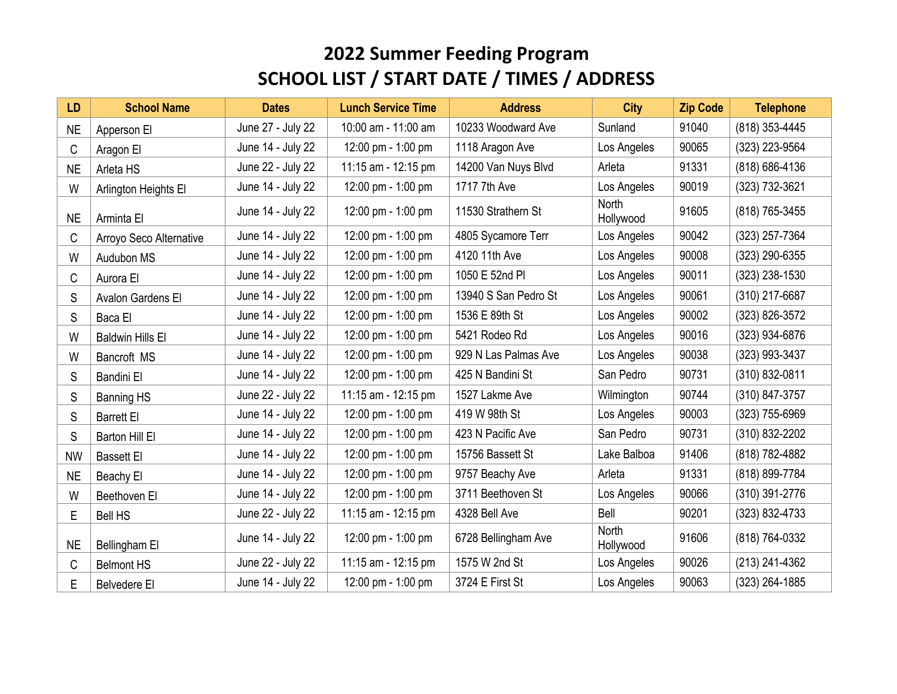| <b>LD</b> | <b>School Name</b>      | <b>Dates</b>      | <b>Lunch Service Time</b> | <b>Address</b>       | <b>City</b>               | <b>Zip Code</b> | <b>Telephone</b> |
|-----------|-------------------------|-------------------|---------------------------|----------------------|---------------------------|-----------------|------------------|
| <b>NE</b> | Apperson El             | June 27 - July 22 | 10:00 am - 11:00 am       | 10233 Woodward Ave   | Sunland                   | 91040           | (818) 353-4445   |
| C         | Aragon El               | June 14 - July 22 | 12:00 pm - 1:00 pm        | 1118 Aragon Ave      | Los Angeles               | 90065           | (323) 223-9564   |
| <b>NE</b> | Arleta HS               | June 22 - July 22 | 11:15 am - 12:15 pm       | 14200 Van Nuys Blvd  | Arleta                    | 91331           | (818) 686-4136   |
| W         | Arlington Heights El    | June 14 - July 22 | 12:00 pm - 1:00 pm        | 1717 7th Ave         | Los Angeles               | 90019           | (323) 732-3621   |
| <b>NE</b> | Arminta El              | June 14 - July 22 | 12:00 pm - 1:00 pm        | 11530 Strathern St   | <b>North</b><br>Hollywood | 91605           | (818) 765-3455   |
| С         | Arroyo Seco Alternative | June 14 - July 22 | 12:00 pm - 1:00 pm        | 4805 Sycamore Terr   | Los Angeles               | 90042           | (323) 257-7364   |
| W         | Audubon MS              | June 14 - July 22 | 12:00 pm - 1:00 pm        | 4120 11th Ave        | Los Angeles               | 90008           | (323) 290-6355   |
| С         | Aurora El               | June 14 - July 22 | 12:00 pm - 1:00 pm        | 1050 E 52nd Pl       | Los Angeles               | 90011           | (323) 238-1530   |
| S         | Avalon Gardens El       | June 14 - July 22 | 12:00 pm - 1:00 pm        | 13940 S San Pedro St | Los Angeles               | 90061           | (310) 217-6687   |
| S         | Baca El                 | June 14 - July 22 | 12:00 pm - 1:00 pm        | 1536 E 89th St       | Los Angeles               | 90002           | (323) 826-3572   |
| W         | <b>Baldwin Hills El</b> | June 14 - July 22 | 12:00 pm - 1:00 pm        | 5421 Rodeo Rd        | Los Angeles               | 90016           | (323) 934-6876   |
| W         | Bancroft MS             | June 14 - July 22 | 12:00 pm - 1:00 pm        | 929 N Las Palmas Ave | Los Angeles               | 90038           | (323) 993-3437   |
| S         | <b>Bandini El</b>       | June 14 - July 22 | 12:00 pm - 1:00 pm        | 425 N Bandini St     | San Pedro                 | 90731           | (310) 832-0811   |
| S         | <b>Banning HS</b>       | June 22 - July 22 | 11:15 am - 12:15 pm       | 1527 Lakme Ave       | Wilmington                | 90744           | (310) 847-3757   |
| S         | <b>Barrett El</b>       | June 14 - July 22 | 12:00 pm - 1:00 pm        | 419 W 98th St        | Los Angeles               | 90003           | (323) 755-6969   |
| S         | Barton Hill El          | June 14 - July 22 | 12:00 pm - 1:00 pm        | 423 N Pacific Ave    | San Pedro                 | 90731           | (310) 832-2202   |
| <b>NW</b> | <b>Bassett El</b>       | June 14 - July 22 | 12:00 pm - 1:00 pm        | 15756 Bassett St     | Lake Balboa               | 91406           | (818) 782-4882   |
| <b>NE</b> | Beachy El               | June 14 - July 22 | 12:00 pm - 1:00 pm        | 9757 Beachy Ave      | Arleta                    | 91331           | (818) 899-7784   |
| W         | Beethoven El            | June 14 - July 22 | 12:00 pm - 1:00 pm        | 3711 Beethoven St    | Los Angeles               | 90066           | (310) 391-2776   |
| E         | <b>Bell HS</b>          | June 22 - July 22 | 11:15 am - 12:15 pm       | 4328 Bell Ave        | Bell                      | 90201           | (323) 832-4733   |
| <b>NE</b> | Bellingham El           | June 14 - July 22 | 12:00 pm - 1:00 pm        | 6728 Bellingham Ave  | <b>North</b><br>Hollywood | 91606           | (818) 764-0332   |
| C         | <b>Belmont HS</b>       | June 22 - July 22 | 11:15 am - 12:15 pm       | 1575 W 2nd St        | Los Angeles               | 90026           | (213) 241-4362   |
| E         | <b>Belvedere El</b>     | June 14 - July 22 | 12:00 pm - 1:00 pm        | 3724 E First St      | Los Angeles               | 90063           | (323) 264-1885   |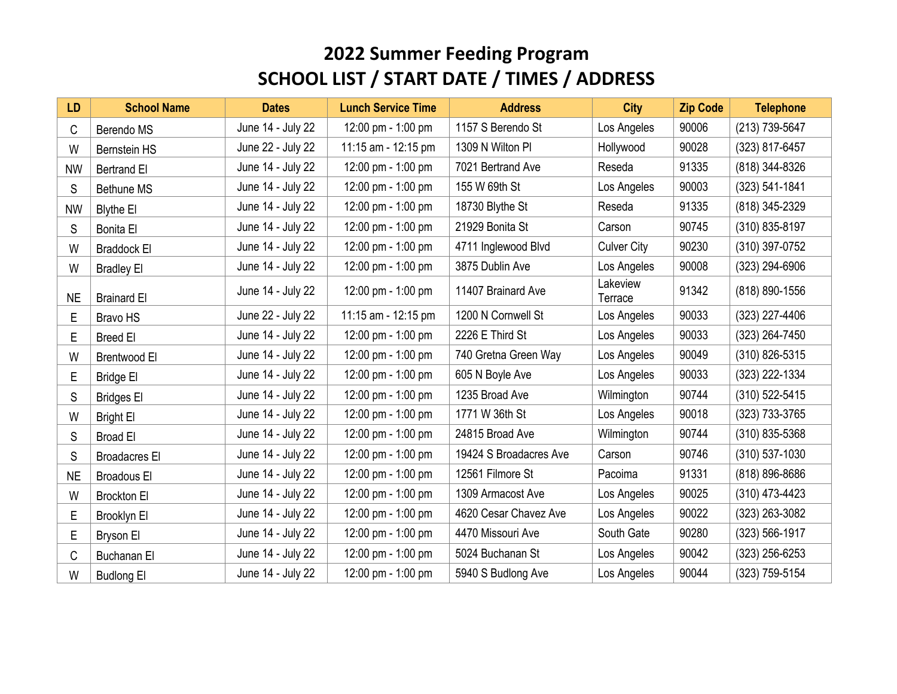| <b>LD</b> | <b>School Name</b>   | <b>Dates</b>      | <b>Lunch Service Time</b> | <b>Address</b>         | <b>City</b>         | <b>Zip Code</b> | <b>Telephone</b>   |
|-----------|----------------------|-------------------|---------------------------|------------------------|---------------------|-----------------|--------------------|
| C         | Berendo MS           | June 14 - July 22 | 12:00 pm - 1:00 pm        | 1157 S Berendo St      | Los Angeles         | 90006           | (213) 739-5647     |
| W         | <b>Bernstein HS</b>  | June 22 - July 22 | 11:15 am - 12:15 pm       | 1309 N Wilton PI       | Hollywood           | 90028           | (323) 817-6457     |
| <b>NW</b> | <b>Bertrand El</b>   | June 14 - July 22 | 12:00 pm - 1:00 pm        | 7021 Bertrand Ave      | Reseda              | 91335           | (818) 344-8326     |
| S         | <b>Bethune MS</b>    | June 14 - July 22 | 12:00 pm - 1:00 pm        | 155 W 69th St          | Los Angeles         | 90003           | (323) 541-1841     |
| <b>NW</b> | <b>Blythe El</b>     | June 14 - July 22 | 12:00 pm - 1:00 pm        | 18730 Blythe St        | Reseda              | 91335           | (818) 345-2329     |
| S         | <b>Bonita El</b>     | June 14 - July 22 | 12:00 pm - 1:00 pm        | 21929 Bonita St        | Carson              | 90745           | (310) 835-8197     |
| W         | <b>Braddock El</b>   | June 14 - July 22 | 12:00 pm - 1:00 pm        | 4711 Inglewood Blvd    | <b>Culver City</b>  | 90230           | (310) 397-0752     |
| W         | <b>Bradley El</b>    | June 14 - July 22 | 12:00 pm - 1:00 pm        | 3875 Dublin Ave        | Los Angeles         | 90008           | (323) 294-6906     |
| <b>NE</b> | <b>Brainard El</b>   | June 14 - July 22 | 12:00 pm - 1:00 pm        | 11407 Brainard Ave     | Lakeview<br>Terrace | 91342           | (818) 890-1556     |
| E         | <b>Bravo HS</b>      | June 22 - July 22 | 11:15 am - 12:15 pm       | 1200 N Cornwell St     | Los Angeles         | 90033           | (323) 227-4406     |
| E         | <b>Breed El</b>      | June 14 - July 22 | 12:00 pm - 1:00 pm        | 2226 E Third St        | Los Angeles         | 90033           | (323) 264-7450     |
| W         | Brentwood El         | June 14 - July 22 | 12:00 pm - 1:00 pm        | 740 Gretna Green Way   | Los Angeles         | 90049           | (310) 826-5315     |
| Е         | <b>Bridge El</b>     | June 14 - July 22 | 12:00 pm - 1:00 pm        | 605 N Boyle Ave        | Los Angeles         | 90033           | (323) 222-1334     |
| S         | <b>Bridges El</b>    | June 14 - July 22 | 12:00 pm - 1:00 pm        | 1235 Broad Ave         | Wilmington          | 90744           | (310) 522-5415     |
| W         | <b>Bright El</b>     | June 14 - July 22 | 12:00 pm - 1:00 pm        | 1771 W 36th St         | Los Angeles         | 90018           | (323) 733-3765     |
| S         | <b>Broad El</b>      | June 14 - July 22 | 12:00 pm - 1:00 pm        | 24815 Broad Ave        | Wilmington          | 90744           | (310) 835-5368     |
| S         | <b>Broadacres El</b> | June 14 - July 22 | 12:00 pm - 1:00 pm        | 19424 S Broadacres Ave | Carson              | 90746           | $(310) 537 - 1030$ |
| <b>NE</b> | <b>Broadous El</b>   | June 14 - July 22 | 12:00 pm - 1:00 pm        | 12561 Filmore St       | Pacoima             | 91331           | (818) 896-8686     |
| W         | <b>Brockton El</b>   | June 14 - July 22 | 12:00 pm - 1:00 pm        | 1309 Armacost Ave      | Los Angeles         | 90025           | (310) 473-4423     |
| E         | Brooklyn El          | June 14 - July 22 | 12:00 pm - 1:00 pm        | 4620 Cesar Chavez Ave  | Los Angeles         | 90022           | (323) 263-3082     |
| E         | Bryson El            | June 14 - July 22 | 12:00 pm - 1:00 pm        | 4470 Missouri Ave      | South Gate          | 90280           | (323) 566-1917     |
| C         | <b>Buchanan El</b>   | June 14 - July 22 | 12:00 pm - 1:00 pm        | 5024 Buchanan St       | Los Angeles         | 90042           | (323) 256-6253     |
| W         | <b>Budlong El</b>    | June 14 - July 22 | 12:00 pm - 1:00 pm        | 5940 S Budlong Ave     | Los Angeles         | 90044           | (323) 759-5154     |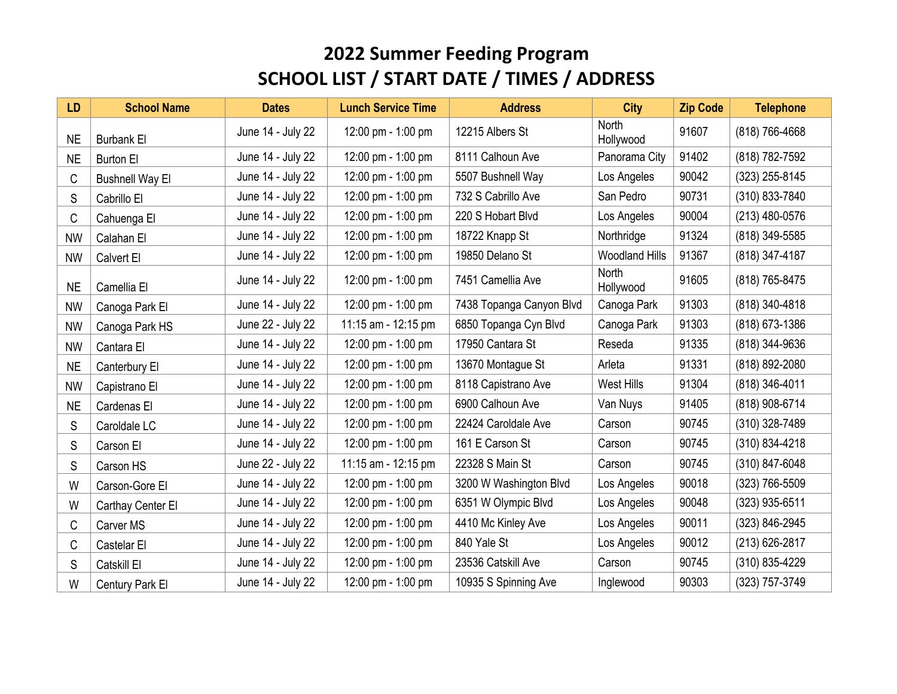| <b>LD</b> | <b>School Name</b>     | <b>Dates</b>      | <b>Lunch Service Time</b> | <b>Address</b>           | <b>City</b>               | <b>Zip Code</b> | <b>Telephone</b> |
|-----------|------------------------|-------------------|---------------------------|--------------------------|---------------------------|-----------------|------------------|
| <b>NE</b> | <b>Burbank El</b>      | June 14 - July 22 | 12:00 pm - 1:00 pm        | 12215 Albers St          | <b>North</b><br>Hollywood | 91607           | (818) 766-4668   |
| <b>NE</b> | <b>Burton El</b>       | June 14 - July 22 | 12:00 pm - 1:00 pm        | 8111 Calhoun Ave         | Panorama City             | 91402           | (818) 782-7592   |
| C         | <b>Bushnell Way El</b> | June 14 - July 22 | 12:00 pm - 1:00 pm        | 5507 Bushnell Way        | Los Angeles               | 90042           | (323) 255-8145   |
| S         | Cabrillo El            | June 14 - July 22 | 12:00 pm - 1:00 pm        | 732 S Cabrillo Ave       | San Pedro                 | 90731           | (310) 833-7840   |
| C         | Cahuenga El            | June 14 - July 22 | 12:00 pm - 1:00 pm        | 220 S Hobart Blvd        | Los Angeles               | 90004           | (213) 480-0576   |
| <b>NW</b> | Calahan El             | June 14 - July 22 | 12:00 pm - 1:00 pm        | 18722 Knapp St           | Northridge                | 91324           | (818) 349-5585   |
| <b>NW</b> | Calvert El             | June 14 - July 22 | 12:00 pm - 1:00 pm        | 19850 Delano St          | <b>Woodland Hills</b>     | 91367           | (818) 347-4187   |
| <b>NE</b> | Camellia El            | June 14 - July 22 | 12:00 pm - 1:00 pm        | 7451 Camellia Ave        | <b>North</b><br>Hollywood | 91605           | (818) 765-8475   |
| <b>NW</b> | Canoga Park El         | June 14 - July 22 | 12:00 pm - 1:00 pm        | 7438 Topanga Canyon Blvd | Canoga Park               | 91303           | (818) 340-4818   |
| <b>NW</b> | Canoga Park HS         | June 22 - July 22 | 11:15 am - 12:15 pm       | 6850 Topanga Cyn Blvd    | Canoga Park               | 91303           | (818) 673-1386   |
| <b>NW</b> | Cantara El             | June 14 - July 22 | 12:00 pm - 1:00 pm        | 17950 Cantara St         | Reseda                    | 91335           | (818) 344-9636   |
| <b>NE</b> | Canterbury El          | June 14 - July 22 | 12:00 pm - 1:00 pm        | 13670 Montague St        | Arleta                    | 91331           | (818) 892-2080   |
| <b>NW</b> | Capistrano El          | June 14 - July 22 | 12:00 pm - 1:00 pm        | 8118 Capistrano Ave      | West Hills                | 91304           | (818) 346-4011   |
| <b>NE</b> | Cardenas El            | June 14 - July 22 | 12:00 pm - 1:00 pm        | 6900 Calhoun Ave         | Van Nuys                  | 91405           | (818) 908-6714   |
| S         | Caroldale LC           | June 14 - July 22 | 12:00 pm - 1:00 pm        | 22424 Caroldale Ave      | Carson                    | 90745           | (310) 328-7489   |
| S         | Carson El              | June 14 - July 22 | 12:00 pm - 1:00 pm        | 161 E Carson St          | Carson                    | 90745           | (310) 834-4218   |
| S         | Carson HS              | June 22 - July 22 | 11:15 am - 12:15 pm       | 22328 S Main St          | Carson                    | 90745           | (310) 847-6048   |
| W         | Carson-Gore El         | June 14 - July 22 | 12:00 pm - 1:00 pm        | 3200 W Washington Blvd   | Los Angeles               | 90018           | (323) 766-5509   |
| W         | Carthay Center El      | June 14 - July 22 | 12:00 pm - 1:00 pm        | 6351 W Olympic Blvd      | Los Angeles               | 90048           | (323) 935-6511   |
| C         | Carver MS              | June 14 - July 22 | 12:00 pm - 1:00 pm        | 4410 Mc Kinley Ave       | Los Angeles               | 90011           | (323) 846-2945   |
| C         | Castelar El            | June 14 - July 22 | 12:00 pm - 1:00 pm        | 840 Yale St              | Los Angeles               | 90012           | (213) 626-2817   |
| S         | Catskill El            | June 14 - July 22 | 12:00 pm - 1:00 pm        | 23536 Catskill Ave       | Carson                    | 90745           | (310) 835-4229   |
| W         | Century Park El        | June 14 - July 22 | 12:00 pm - 1:00 pm        | 10935 S Spinning Ave     | Inglewood                 | 90303           | (323) 757-3749   |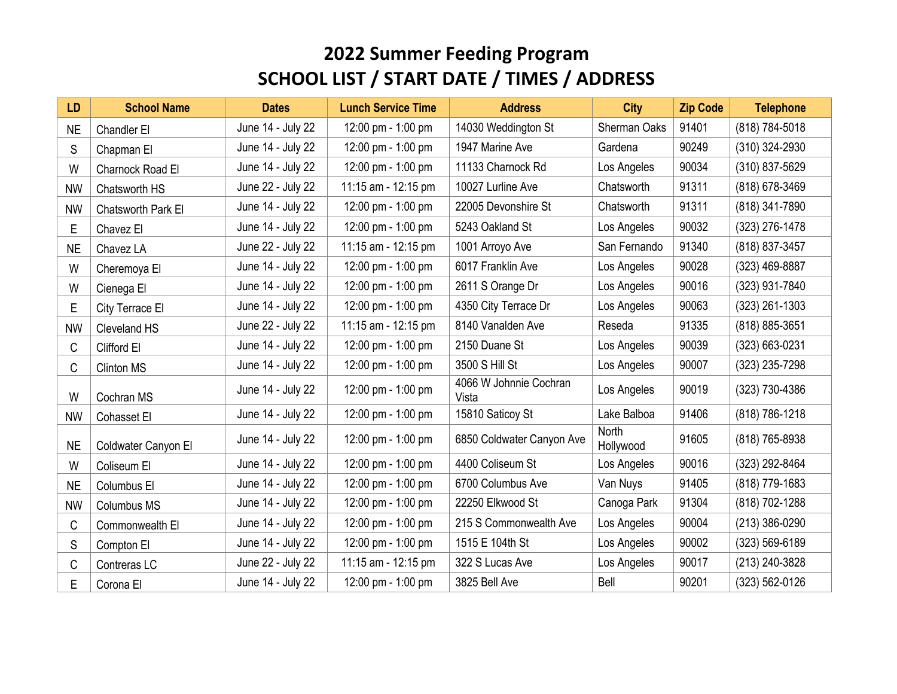| <b>LD</b> | <b>School Name</b>  | <b>Dates</b>      | <b>Lunch Service Time</b> | <b>Address</b>                  | <b>City</b>        | <b>Zip Code</b> | <b>Telephone</b> |
|-----------|---------------------|-------------------|---------------------------|---------------------------------|--------------------|-----------------|------------------|
| <b>NE</b> | Chandler El         | June 14 - July 22 | 12:00 pm - 1:00 pm        | 14030 Weddington St             | Sherman Oaks       | 91401           | (818) 784-5018   |
| S         | Chapman El          | June 14 - July 22 | 12:00 pm - 1:00 pm        | 1947 Marine Ave                 | Gardena            | 90249           | (310) 324-2930   |
| W         | Charnock Road El    | June 14 - July 22 | 12:00 pm - 1:00 pm        | 11133 Charnock Rd               | Los Angeles        | 90034           | (310) 837-5629   |
| <b>NW</b> | Chatsworth HS       | June 22 - July 22 | 11:15 am - 12:15 pm       | 10027 Lurline Ave               | Chatsworth         | 91311           | (818) 678-3469   |
| <b>NW</b> | Chatsworth Park El  | June 14 - July 22 | 12:00 pm - 1:00 pm        | 22005 Devonshire St             | Chatsworth         | 91311           | (818) 341-7890   |
| E         | Chavez El           | June 14 - July 22 | 12:00 pm - 1:00 pm        | 5243 Oakland St                 | Los Angeles        | 90032           | (323) 276-1478   |
| <b>NE</b> | Chavez LA           | June 22 - July 22 | 11:15 am - 12:15 pm       | 1001 Arroyo Ave                 | San Fernando       | 91340           | (818) 837-3457   |
| W         | Cheremoya El        | June 14 - July 22 | 12:00 pm - 1:00 pm        | 6017 Franklin Ave               | Los Angeles        | 90028           | (323) 469-8887   |
| W         | Cienega El          | June 14 - July 22 | 12:00 pm - 1:00 pm        | 2611 S Orange Dr                | Los Angeles        | 90016           | (323) 931-7840   |
| E         | City Terrace El     | June 14 - July 22 | 12:00 pm - 1:00 pm        | 4350 City Terrace Dr            | Los Angeles        | 90063           | $(323)$ 261-1303 |
| <b>NW</b> | Cleveland HS        | June 22 - July 22 | 11:15 am - 12:15 pm       | 8140 Vanalden Ave               | Reseda             | 91335           | (818) 885-3651   |
| C         | Clifford El         | June 14 - July 22 | 12:00 pm - 1:00 pm        | 2150 Duane St                   | Los Angeles        | 90039           | (323) 663-0231   |
| C         | <b>Clinton MS</b>   | June 14 - July 22 | 12:00 pm - 1:00 pm        | 3500 S Hill St                  | Los Angeles        | 90007           | (323) 235-7298   |
| W         | Cochran MS          | June 14 - July 22 | 12:00 pm - 1:00 pm        | 4066 W Johnnie Cochran<br>Vista | Los Angeles        | 90019           | (323) 730-4386   |
| <b>NW</b> | Cohasset El         | June 14 - July 22 | 12:00 pm - 1:00 pm        | 15810 Saticoy St                | Lake Balboa        | 91406           | (818) 786-1218   |
| <b>NE</b> | Coldwater Canyon El | June 14 - July 22 | 12:00 pm - 1:00 pm        | 6850 Coldwater Canyon Ave       | North<br>Hollywood | 91605           | (818) 765-8938   |
| W         | Coliseum El         | June 14 - July 22 | 12:00 pm - 1:00 pm        | 4400 Coliseum St                | Los Angeles        | 90016           | (323) 292-8464   |
| <b>NE</b> | Columbus El         | June 14 - July 22 | 12:00 pm - 1:00 pm        | 6700 Columbus Ave               | Van Nuys           | 91405           | (818) 779-1683   |
| <b>NW</b> | Columbus MS         | June 14 - July 22 | 12:00 pm - 1:00 pm        | 22250 Elkwood St                | Canoga Park        | 91304           | (818) 702-1288   |
| C         | Commonwealth El     | June 14 - July 22 | 12:00 pm - 1:00 pm        | 215 S Commonwealth Ave          | Los Angeles        | 90004           | (213) 386-0290   |
| S         | Compton El          | June 14 - July 22 | 12:00 pm - 1:00 pm        | 1515 E 104th St                 | Los Angeles        | 90002           | (323) 569-6189   |
| С         | Contreras LC        | June 22 - July 22 | 11:15 am - 12:15 pm       | 322 S Lucas Ave                 | Los Angeles        | 90017           | (213) 240-3828   |
| E         | Corona El           | June 14 - July 22 | 12:00 pm - 1:00 pm        | 3825 Bell Ave                   | Bell               | 90201           | (323) 562-0126   |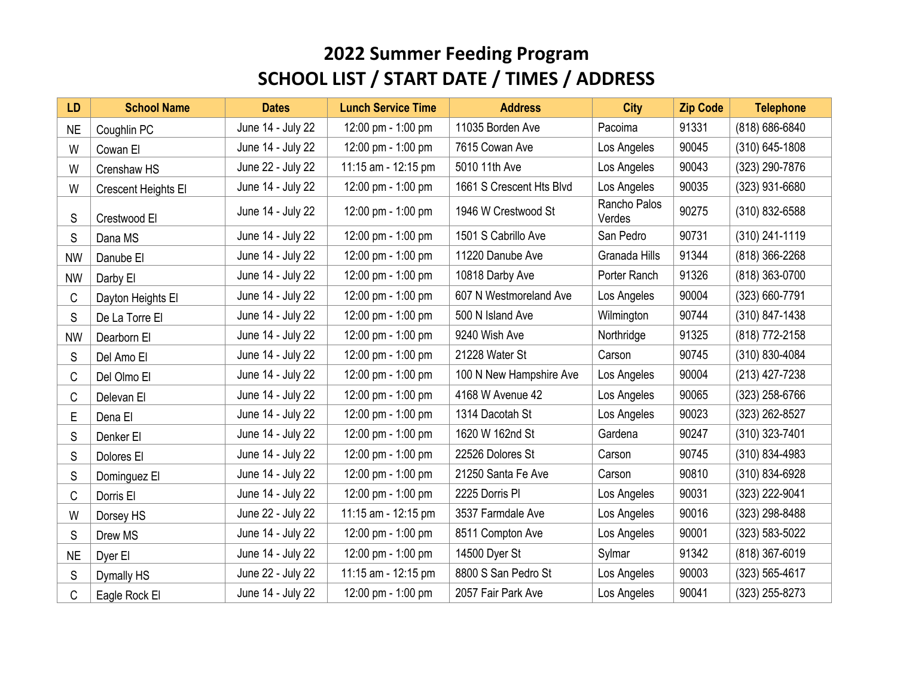| <b>LD</b> | <b>School Name</b>  | <b>Dates</b>      | <b>Lunch Service Time</b> | <b>Address</b>           | <b>City</b>            | <b>Zip Code</b> | <b>Telephone</b> |
|-----------|---------------------|-------------------|---------------------------|--------------------------|------------------------|-----------------|------------------|
| <b>NE</b> | Coughlin PC         | June 14 - July 22 | 12:00 pm - 1:00 pm        | 11035 Borden Ave         | Pacoima                | 91331           | (818) 686-6840   |
| W         | Cowan El            | June 14 - July 22 | 12:00 pm - 1:00 pm        | 7615 Cowan Ave           | Los Angeles            | 90045           | $(310)$ 645-1808 |
| W         | Crenshaw HS         | June 22 - July 22 | 11:15 am - 12:15 pm       | 5010 11th Ave            | Los Angeles            | 90043           | (323) 290-7876   |
| W         | Crescent Heights El | June 14 - July 22 | 12:00 pm - 1:00 pm        | 1661 S Crescent Hts Blvd | Los Angeles            | 90035           | (323) 931-6680   |
| S         | Crestwood El        | June 14 - July 22 | 12:00 pm - 1:00 pm        | 1946 W Crestwood St      | Rancho Palos<br>Verdes | 90275           | (310) 832-6588   |
| S         | Dana MS             | June 14 - July 22 | 12:00 pm - 1:00 pm        | 1501 S Cabrillo Ave      | San Pedro              | 90731           | (310) 241-1119   |
| <b>NW</b> | Danube El           | June 14 - July 22 | 12:00 pm - 1:00 pm        | 11220 Danube Ave         | Granada Hills          | 91344           | (818) 366-2268   |
| <b>NW</b> | Darby El            | June 14 - July 22 | 12:00 pm - 1:00 pm        | 10818 Darby Ave          | Porter Ranch           | 91326           | (818) 363-0700   |
| C         | Dayton Heights El   | June 14 - July 22 | 12:00 pm - 1:00 pm        | 607 N Westmoreland Ave   | Los Angeles            | 90004           | (323) 660-7791   |
| S         | De La Torre El      | June 14 - July 22 | 12:00 pm - 1:00 pm        | 500 N Island Ave         | Wilmington             | 90744           | (310) 847-1438   |
| <b>NW</b> | Dearborn El         | June 14 - July 22 | 12:00 pm - 1:00 pm        | 9240 Wish Ave            | Northridge             | 91325           | (818) 772-2158   |
| S         | Del Amo El          | June 14 - July 22 | 12:00 pm - 1:00 pm        | 21228 Water St           | Carson                 | 90745           | (310) 830-4084   |
| C         | Del Olmo El         | June 14 - July 22 | 12:00 pm - 1:00 pm        | 100 N New Hampshire Ave  | Los Angeles            | 90004           | (213) 427-7238   |
| C         | Delevan El          | June 14 - July 22 | 12:00 pm - 1:00 pm        | 4168 W Avenue 42         | Los Angeles            | 90065           | (323) 258-6766   |
| E         | Dena El             | June 14 - July 22 | 12:00 pm - 1:00 pm        | 1314 Dacotah St          | Los Angeles            | 90023           | (323) 262-8527   |
| S         | Denker El           | June 14 - July 22 | 12:00 pm - 1:00 pm        | 1620 W 162nd St          | Gardena                | 90247           | (310) 323-7401   |
| S         | Dolores El          | June 14 - July 22 | 12:00 pm - 1:00 pm        | 22526 Dolores St         | Carson                 | 90745           | (310) 834-4983   |
| S         | Dominguez El        | June 14 - July 22 | 12:00 pm - 1:00 pm        | 21250 Santa Fe Ave       | Carson                 | 90810           | (310) 834-6928   |
| C         | Dorris El           | June 14 - July 22 | 12:00 pm - 1:00 pm        | 2225 Dorris PI           | Los Angeles            | 90031           | (323) 222-9041   |
| W         | Dorsey HS           | June 22 - July 22 | 11:15 am - 12:15 pm       | 3537 Farmdale Ave        | Los Angeles            | 90016           | (323) 298-8488   |
| S         | Drew MS             | June 14 - July 22 | 12:00 pm - 1:00 pm        | 8511 Compton Ave         | Los Angeles            | 90001           | (323) 583-5022   |
| <b>NE</b> | Dyer El             | June 14 - July 22 | 12:00 pm - 1:00 pm        | 14500 Dyer St            | Sylmar                 | 91342           | (818) 367-6019   |
| S         | Dymally HS          | June 22 - July 22 | 11:15 am - 12:15 pm       | 8800 S San Pedro St      | Los Angeles            | 90003           | (323) 565-4617   |
| C         | Eagle Rock El       | June 14 - July 22 | 12:00 pm - 1:00 pm        | 2057 Fair Park Ave       | Los Angeles            | 90041           | (323) 255-8273   |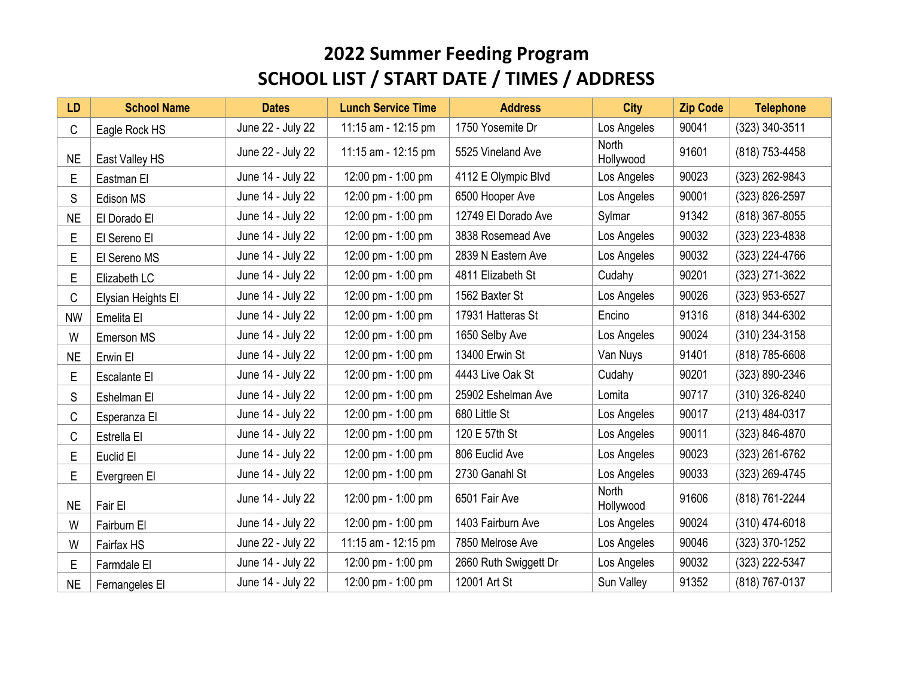| <b>LD</b> | <b>School Name</b> | <b>Dates</b>      | <b>Lunch Service Time</b> | <b>Address</b>        | <b>City</b>               | <b>Zip Code</b> | <b>Telephone</b> |
|-----------|--------------------|-------------------|---------------------------|-----------------------|---------------------------|-----------------|------------------|
| C         | Eagle Rock HS      | June 22 - July 22 | 11:15 am - 12:15 pm       | 1750 Yosemite Dr      | Los Angeles               | 90041           | (323) 340-3511   |
| <b>NE</b> | East Valley HS     | June 22 - July 22 | 11:15 am - 12:15 pm       | 5525 Vineland Ave     | <b>North</b><br>Hollywood | 91601           | (818) 753-4458   |
| E         | Eastman El         | June 14 - July 22 | 12:00 pm - 1:00 pm        | 4112 E Olympic Blvd   | Los Angeles               | 90023           | (323) 262-9843   |
| S         | Edison MS          | June 14 - July 22 | 12:00 pm - 1:00 pm        | 6500 Hooper Ave       | Los Angeles               | 90001           | (323) 826-2597   |
| <b>NE</b> | El Dorado El       | June 14 - July 22 | 12:00 pm - 1:00 pm        | 12749 El Dorado Ave   | Sylmar                    | 91342           | (818) 367-8055   |
| E         | El Sereno El       | June 14 - July 22 | 12:00 pm - 1:00 pm        | 3838 Rosemead Ave     | Los Angeles               | 90032           | (323) 223-4838   |
| E         | El Sereno MS       | June 14 - July 22 | 12:00 pm - 1:00 pm        | 2839 N Eastern Ave    | Los Angeles               | 90032           | (323) 224-4766   |
| E         | Elizabeth LC       | June 14 - July 22 | 12:00 pm - 1:00 pm        | 4811 Elizabeth St     | Cudahy                    | 90201           | (323) 271-3622   |
| C         | Elysian Heights El | June 14 - July 22 | 12:00 pm - 1:00 pm        | 1562 Baxter St        | Los Angeles               | 90026           | (323) 953-6527   |
| <b>NW</b> | Emelita El         | June 14 - July 22 | 12:00 pm - 1:00 pm        | 17931 Hatteras St     | Encino                    | 91316           | (818) 344-6302   |
| W         | Emerson MS         | June 14 - July 22 | 12:00 pm - 1:00 pm        | 1650 Selby Ave        | Los Angeles               | 90024           | (310) 234-3158   |
| <b>NE</b> | Erwin El           | June 14 - July 22 | 12:00 pm - 1:00 pm        | 13400 Erwin St        | Van Nuys                  | 91401           | (818) 785-6608   |
| E         | Escalante El       | June 14 - July 22 | 12:00 pm - 1:00 pm        | 4443 Live Oak St      | Cudahy                    | 90201           | (323) 890-2346   |
| S         | Eshelman El        | June 14 - July 22 | 12:00 pm - 1:00 pm        | 25902 Eshelman Ave    | Lomita                    | 90717           | (310) 326-8240   |
| С         | Esperanza El       | June 14 - July 22 | 12:00 pm - 1:00 pm        | 680 Little St         | Los Angeles               | 90017           | (213) 484-0317   |
| С         | Estrella El        | June 14 - July 22 | 12:00 pm - 1:00 pm        | 120 E 57th St         | Los Angeles               | 90011           | (323) 846-4870   |
| E         | Euclid El          | June 14 - July 22 | 12:00 pm - 1:00 pm        | 806 Euclid Ave        | Los Angeles               | 90023           | (323) 261-6762   |
| E         | Evergreen El       | June 14 - July 22 | 12:00 pm - 1:00 pm        | 2730 Ganahl St        | Los Angeles               | 90033           | (323) 269-4745   |
| <b>NE</b> | Fair El            | June 14 - July 22 | 12:00 pm - 1:00 pm        | 6501 Fair Ave         | <b>North</b><br>Hollywood | 91606           | (818) 761-2244   |
| W         | Fairburn El        | June 14 - July 22 | 12:00 pm - 1:00 pm        | 1403 Fairburn Ave     | Los Angeles               | 90024           | (310) 474-6018   |
| W         | Fairfax HS         | June 22 - July 22 | 11:15 am - 12:15 pm       | 7850 Melrose Ave      | Los Angeles               | 90046           | (323) 370-1252   |
| E         | Farmdale El        | June 14 - July 22 | 12:00 pm - 1:00 pm        | 2660 Ruth Swiggett Dr | Los Angeles               | 90032           | (323) 222-5347   |
| <b>NE</b> | Fernangeles El     | June 14 - July 22 | 12:00 pm - 1:00 pm        | 12001 Art St          | Sun Valley                | 91352           | (818) 767-0137   |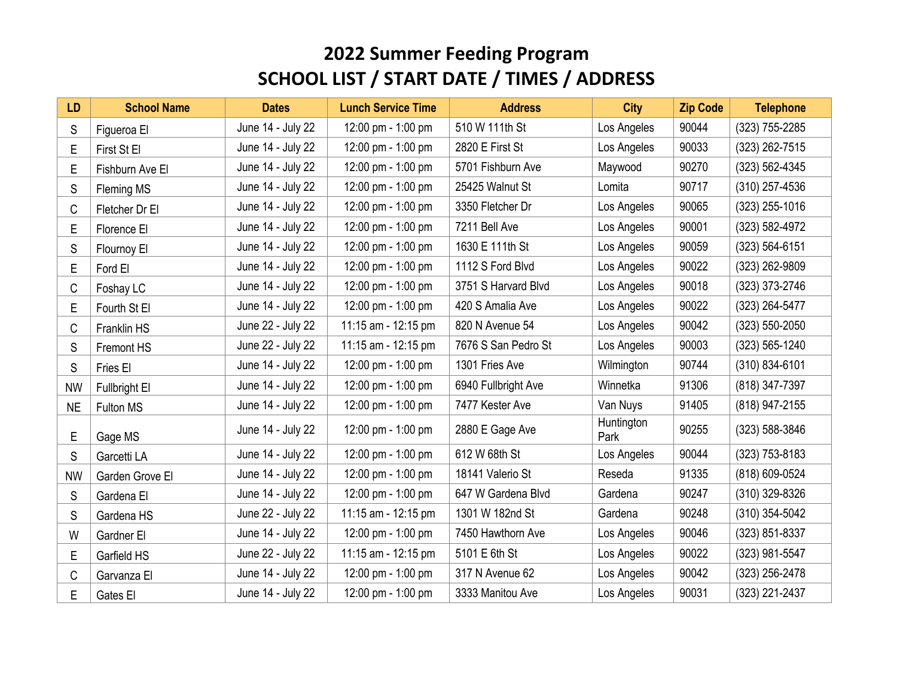| <b>LD</b> | <b>School Name</b>   | <b>Dates</b>      | <b>Lunch Service Time</b> | <b>Address</b>      | <b>City</b>        | <b>Zip Code</b> | <b>Telephone</b> |
|-----------|----------------------|-------------------|---------------------------|---------------------|--------------------|-----------------|------------------|
| S         | Figueroa El          | June 14 - July 22 | 12:00 pm - 1:00 pm        | 510 W 111th St      | Los Angeles        | 90044           | (323) 755-2285   |
| Е         | First St El          | June 14 - July 22 | 12:00 pm - 1:00 pm        | 2820 E First St     | Los Angeles        | 90033           | (323) 262-7515   |
| E         | Fishburn Ave El      | June 14 - July 22 | 12:00 pm - 1:00 pm        | 5701 Fishburn Ave   | Maywood            | 90270           | (323) 562-4345   |
| S         | Fleming MS           | June 14 - July 22 | 12:00 pm - 1:00 pm        | 25425 Walnut St     | Lomita             | 90717           | (310) 257-4536   |
| C         | Fletcher Dr El       | June 14 - July 22 | 12:00 pm - 1:00 pm        | 3350 Fletcher Dr    | Los Angeles        | 90065           | $(323)$ 255-1016 |
| Е         | Florence El          | June 14 - July 22 | 12:00 pm - 1:00 pm        | 7211 Bell Ave       | Los Angeles        | 90001           | (323) 582-4972   |
| S         | Flournoy El          | June 14 - July 22 | 12:00 pm - 1:00 pm        | 1630 E 111th St     | Los Angeles        | 90059           | (323) 564-6151   |
| Е         | Ford El              | June 14 - July 22 | 12:00 pm - 1:00 pm        | 1112 S Ford Blvd    | Los Angeles        | 90022           | (323) 262-9809   |
| C         | Foshay LC            | June 14 - July 22 | 12:00 pm - 1:00 pm        | 3751 S Harvard Blvd | Los Angeles        | 90018           | (323) 373-2746   |
| E         | Fourth St El         | June 14 - July 22 | 12:00 pm - 1:00 pm        | 420 S Amalia Ave    | Los Angeles        | 90022           | (323) 264-5477   |
| C         | Franklin HS          | June 22 - July 22 | 11:15 am - 12:15 pm       | 820 N Avenue 54     | Los Angeles        | 90042           | (323) 550-2050   |
| S         | Fremont HS           | June 22 - July 22 | 11:15 am - 12:15 pm       | 7676 S San Pedro St | Los Angeles        | 90003           | (323) 565-1240   |
| S         | Fries El             | June 14 - July 22 | 12:00 pm - 1:00 pm        | 1301 Fries Ave      | Wilmington         | 90744           | (310) 834-6101   |
| <b>NW</b> | <b>Fullbright El</b> | June 14 - July 22 | 12:00 pm - 1:00 pm        | 6940 Fullbright Ave | Winnetka           | 91306           | (818) 347-7397   |
| <b>NE</b> | Fulton MS            | June 14 - July 22 | 12:00 pm - 1:00 pm        | 7477 Kester Ave     | Van Nuys           | 91405           | (818) 947-2155   |
| Е         | Gage MS              | June 14 - July 22 | 12:00 pm - 1:00 pm        | 2880 E Gage Ave     | Huntington<br>Park | 90255           | (323) 588-3846   |
| S         | Garcetti LA          | June 14 - July 22 | 12:00 pm - 1:00 pm        | 612 W 68th St       | Los Angeles        | 90044           | (323) 753-8183   |
| <b>NW</b> | Garden Grove El      | June 14 - July 22 | 12:00 pm - 1:00 pm        | 18141 Valerio St    | Reseda             | 91335           | (818) 609-0524   |
| S         | Gardena El           | June 14 - July 22 | 12:00 pm - 1:00 pm        | 647 W Gardena Blvd  | Gardena            | 90247           | (310) 329-8326   |
| S         | Gardena HS           | June 22 - July 22 | 11:15 am - 12:15 pm       | 1301 W 182nd St     | Gardena            | 90248           | (310) 354-5042   |
| W         | Gardner El           | June 14 - July 22 | 12:00 pm - 1:00 pm        | 7450 Hawthorn Ave   | Los Angeles        | 90046           | (323) 851-8337   |
| Е         | Garfield HS          | June 22 - July 22 | 11:15 am - 12:15 pm       | 5101 E 6th St       | Los Angeles        | 90022           | (323) 981-5547   |
| C         | Garvanza El          | June 14 - July 22 | 12:00 pm - 1:00 pm        | 317 N Avenue 62     | Los Angeles        | 90042           | (323) 256-2478   |
| Е         | Gates El             | June 14 - July 22 | 12:00 pm - 1:00 pm        | 3333 Manitou Ave    | Los Angeles        | 90031           | (323) 221-2437   |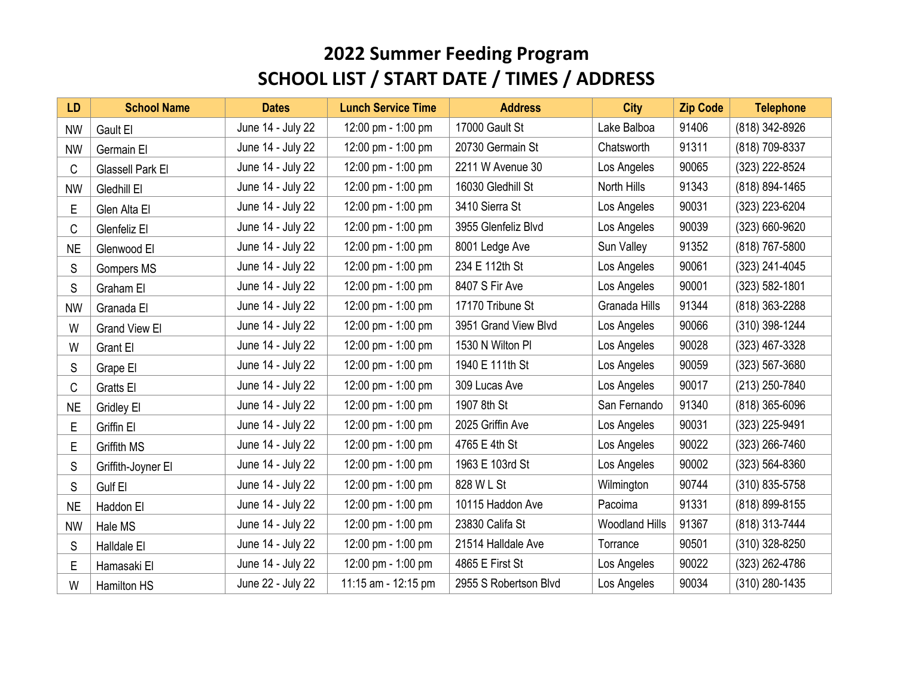| LD        | <b>School Name</b>   | <b>Dates</b>      | <b>Lunch Service Time</b> | <b>Address</b>        | <b>City</b>           | <b>Zip Code</b> | <b>Telephone</b> |
|-----------|----------------------|-------------------|---------------------------|-----------------------|-----------------------|-----------------|------------------|
| <b>NW</b> | Gault El             | June 14 - July 22 | 12:00 pm - 1:00 pm        | 17000 Gault St        | Lake Balboa           | 91406           | (818) 342-8926   |
| <b>NW</b> | Germain El           | June 14 - July 22 | 12:00 pm - 1:00 pm        | 20730 Germain St      | Chatsworth            | 91311           | (818) 709-8337   |
| C         | Glassell Park El     | June 14 - July 22 | 12:00 pm - 1:00 pm        | 2211 W Avenue 30      | Los Angeles           | 90065           | (323) 222-8524   |
| <b>NW</b> | Gledhill El          | June 14 - July 22 | 12:00 pm - 1:00 pm        | 16030 Gledhill St     | North Hills           | 91343           | (818) 894-1465   |
| E         | Glen Alta El         | June 14 - July 22 | 12:00 pm - 1:00 pm        | 3410 Sierra St        | Los Angeles           | 90031           | (323) 223-6204   |
| C         | Glenfeliz El         | June 14 - July 22 | 12:00 pm - 1:00 pm        | 3955 Glenfeliz Blvd   | Los Angeles           | 90039           | (323) 660-9620   |
| <b>NE</b> | Glenwood El          | June 14 - July 22 | 12:00 pm - 1:00 pm        | 8001 Ledge Ave        | Sun Valley            | 91352           | (818) 767-5800   |
| S         | <b>Gompers MS</b>    | June 14 - July 22 | 12:00 pm - 1:00 pm        | 234 E 112th St        | Los Angeles           | 90061           | (323) 241-4045   |
| S         | Graham El            | June 14 - July 22 | 12:00 pm - 1:00 pm        | 8407 S Fir Ave        | Los Angeles           | 90001           | (323) 582-1801   |
| <b>NW</b> | Granada El           | June 14 - July 22 | 12:00 pm - 1:00 pm        | 17170 Tribune St      | Granada Hills         | 91344           | (818) 363-2288   |
| W         | <b>Grand View El</b> | June 14 - July 22 | 12:00 pm - 1:00 pm        | 3951 Grand View Blvd  | Los Angeles           | 90066           | (310) 398-1244   |
| W         | Grant El             | June 14 - July 22 | 12:00 pm - 1:00 pm        | 1530 N Wilton PI      | Los Angeles           | 90028           | (323) 467-3328   |
| S         | Grape El             | June 14 - July 22 | 12:00 pm - 1:00 pm        | 1940 E 111th St       | Los Angeles           | 90059           | (323) 567-3680   |
| C         | Gratts El            | June 14 - July 22 | 12:00 pm - 1:00 pm        | 309 Lucas Ave         | Los Angeles           | 90017           | (213) 250-7840   |
| <b>NE</b> | <b>Gridley El</b>    | June 14 - July 22 | 12:00 pm - 1:00 pm        | 1907 8th St           | San Fernando          | 91340           | (818) 365-6096   |
| E         | Griffin El           | June 14 - July 22 | 12:00 pm - 1:00 pm        | 2025 Griffin Ave      | Los Angeles           | 90031           | (323) 225-9491   |
| E         | <b>Griffith MS</b>   | June 14 - July 22 | 12:00 pm - 1:00 pm        | 4765 E 4th St         | Los Angeles           | 90022           | (323) 266-7460   |
| S         | Griffith-Joyner El   | June 14 - July 22 | 12:00 pm - 1:00 pm        | 1963 E 103rd St       | Los Angeles           | 90002           | (323) 564-8360   |
| S         | Gulf El              | June 14 - July 22 | 12:00 pm - 1:00 pm        | 828 W L St            | Wilmington            | 90744           | (310) 835-5758   |
| <b>NE</b> | Haddon El            | June 14 - July 22 | 12:00 pm - 1:00 pm        | 10115 Haddon Ave      | Pacoima               | 91331           | (818) 899-8155   |
| <b>NW</b> | Hale MS              | June 14 - July 22 | 12:00 pm - 1:00 pm        | 23830 Califa St       | <b>Woodland Hills</b> | 91367           | (818) 313-7444   |
| S         | Halldale El          | June 14 - July 22 | 12:00 pm - 1:00 pm        | 21514 Halldale Ave    | Torrance              | 90501           | (310) 328-8250   |
| E         | Hamasaki El          | June 14 - July 22 | 12:00 pm - 1:00 pm        | 4865 E First St       | Los Angeles           | 90022           | (323) 262-4786   |
| W         | Hamilton HS          | June 22 - July 22 | 11:15 am - 12:15 pm       | 2955 S Robertson Blvd | Los Angeles           | 90034           | (310) 280-1435   |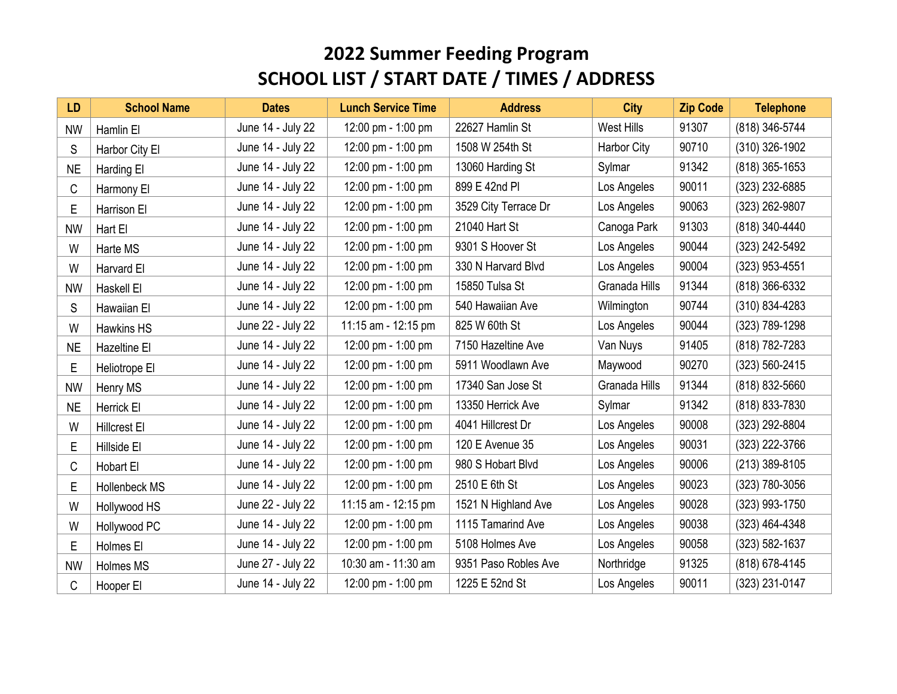| <b>LD</b> | <b>School Name</b> | <b>Dates</b>      | <b>Lunch Service Time</b> | <b>Address</b>       | <b>City</b>       | <b>Zip Code</b> | <b>Telephone</b> |
|-----------|--------------------|-------------------|---------------------------|----------------------|-------------------|-----------------|------------------|
| <b>NW</b> | Hamlin El          | June 14 - July 22 | 12:00 pm - 1:00 pm        | 22627 Hamlin St      | <b>West Hills</b> | 91307           | (818) 346-5744   |
| S         | Harbor City El     | June 14 - July 22 | 12:00 pm - 1:00 pm        | 1508 W 254th St      | Harbor City       | 90710           | (310) 326-1902   |
| <b>NE</b> | Harding El         | June 14 - July 22 | 12:00 pm - 1:00 pm        | 13060 Harding St     | Sylmar            | 91342           | (818) 365-1653   |
| C         | Harmony El         | June 14 - July 22 | 12:00 pm - 1:00 pm        | 899 E 42nd Pl        | Los Angeles       | 90011           | (323) 232-6885   |
| E         | Harrison El        | June 14 - July 22 | 12:00 pm - 1:00 pm        | 3529 City Terrace Dr | Los Angeles       | 90063           | (323) 262-9807   |
| <b>NW</b> | Hart El            | June 14 - July 22 | 12:00 pm - 1:00 pm        | 21040 Hart St        | Canoga Park       | 91303           | (818) 340-4440   |
| W         | Harte MS           | June 14 - July 22 | 12:00 pm - 1:00 pm        | 9301 S Hoover St     | Los Angeles       | 90044           | (323) 242-5492   |
| W         | Harvard El         | June 14 - July 22 | 12:00 pm - 1:00 pm        | 330 N Harvard Blvd   | Los Angeles       | 90004           | (323) 953-4551   |
| <b>NW</b> | Haskell El         | June 14 - July 22 | 12:00 pm - 1:00 pm        | 15850 Tulsa St       | Granada Hills     | 91344           | (818) 366-6332   |
| S         | Hawaiian El        | June 14 - July 22 | 12:00 pm - 1:00 pm        | 540 Hawaiian Ave     | Wilmington        | 90744           | (310) 834-4283   |
| W         | Hawkins HS         | June 22 - July 22 | 11:15 am - 12:15 pm       | 825 W 60th St        | Los Angeles       | 90044           | (323) 789-1298   |
| <b>NE</b> | Hazeltine El       | June 14 - July 22 | 12:00 pm - 1:00 pm        | 7150 Hazeltine Ave   | Van Nuys          | 91405           | (818) 782-7283   |
| Е         | Heliotrope El      | June 14 - July 22 | 12:00 pm - 1:00 pm        | 5911 Woodlawn Ave    | Maywood           | 90270           | (323) 560-2415   |
| <b>NW</b> | Henry MS           | June 14 - July 22 | 12:00 pm - 1:00 pm        | 17340 San Jose St    | Granada Hills     | 91344           | (818) 832-5660   |
| <b>NE</b> | Herrick El         | June 14 - July 22 | 12:00 pm - 1:00 pm        | 13350 Herrick Ave    | Sylmar            | 91342           | (818) 833-7830   |
| W         | Hillcrest El       | June 14 - July 22 | 12:00 pm - 1:00 pm        | 4041 Hillcrest Dr    | Los Angeles       | 90008           | (323) 292-8804   |
| E         | Hillside El        | June 14 - July 22 | 12:00 pm - 1:00 pm        | 120 E Avenue 35      | Los Angeles       | 90031           | (323) 222-3766   |
| C         | Hobart El          | June 14 - July 22 | 12:00 pm - 1:00 pm        | 980 S Hobart Blvd    | Los Angeles       | 90006           | (213) 389-8105   |
| Е         | Hollenbeck MS      | June 14 - July 22 | 12:00 pm - 1:00 pm        | 2510 E 6th St        | Los Angeles       | 90023           | (323) 780-3056   |
| W         | Hollywood HS       | June 22 - July 22 | 11:15 am - 12:15 pm       | 1521 N Highland Ave  | Los Angeles       | 90028           | (323) 993-1750   |
| W         | Hollywood PC       | June 14 - July 22 | 12:00 pm - 1:00 pm        | 1115 Tamarind Ave    | Los Angeles       | 90038           | (323) 464-4348   |
| Ε         | Holmes El          | June 14 - July 22 | 12:00 pm - 1:00 pm        | 5108 Holmes Ave      | Los Angeles       | 90058           | (323) 582-1637   |
| <b>NW</b> | Holmes MS          | June 27 - July 22 | 10:30 am - 11:30 am       | 9351 Paso Robles Ave | Northridge        | 91325           | (818) 678-4145   |
| C         | Hooper El          | June 14 - July 22 | 12:00 pm - 1:00 pm        | 1225 E 52nd St       | Los Angeles       | 90011           | (323) 231-0147   |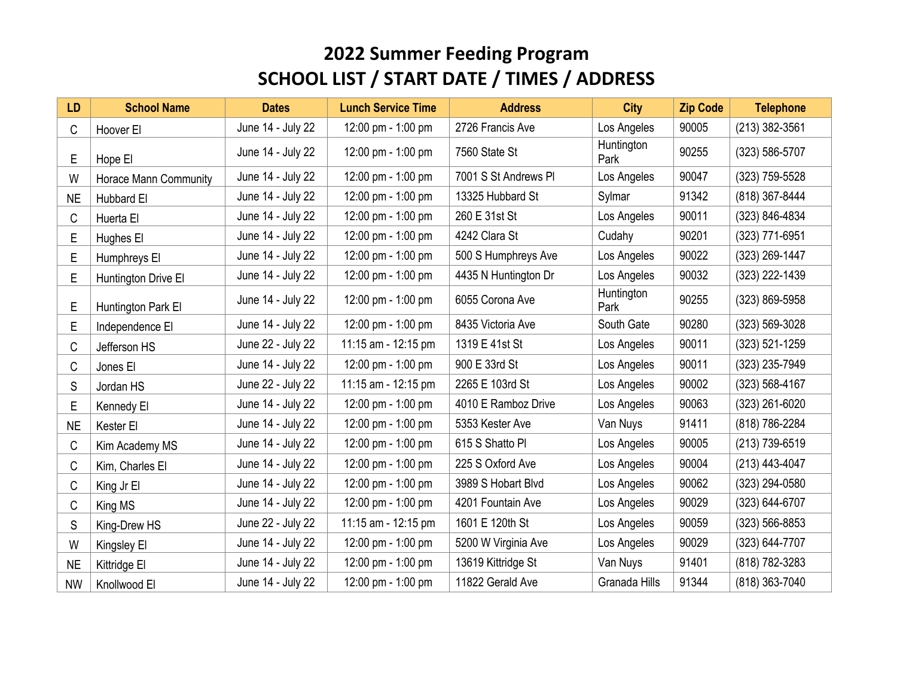| <b>LD</b> | <b>School Name</b>    | <b>Dates</b>      | <b>Lunch Service Time</b> | <b>Address</b>       | <b>City</b>        | <b>Zip Code</b> | <b>Telephone</b>   |
|-----------|-----------------------|-------------------|---------------------------|----------------------|--------------------|-----------------|--------------------|
| C         | Hoover El             | June 14 - July 22 | 12:00 pm - 1:00 pm        | 2726 Francis Ave     | Los Angeles        | 90005           | (213) 382-3561     |
| E         | Hope El               | June 14 - July 22 | 12:00 pm - 1:00 pm        | 7560 State St        | Huntington<br>Park | 90255           | (323) 586-5707     |
| W         | Horace Mann Community | June 14 - July 22 | 12:00 pm - 1:00 pm        | 7001 S St Andrews PI | Los Angeles        | 90047           | (323) 759-5528     |
| <b>NE</b> | Hubbard El            | June 14 - July 22 | 12:00 pm - 1:00 pm        | 13325 Hubbard St     | Sylmar             | 91342           | (818) 367-8444     |
| С         | Huerta El             | June 14 - July 22 | 12:00 pm - 1:00 pm        | 260 E 31st St        | Los Angeles        | 90011           | (323) 846-4834     |
| E         | Hughes El             | June 14 - July 22 | 12:00 pm - 1:00 pm        | 4242 Clara St        | Cudahy             | 90201           | (323) 771-6951     |
| E         | Humphreys El          | June 14 - July 22 | 12:00 pm - 1:00 pm        | 500 S Humphreys Ave  | Los Angeles        | 90022           | (323) 269-1447     |
| E         | Huntington Drive El   | June 14 - July 22 | 12:00 pm - 1:00 pm        | 4435 N Huntington Dr | Los Angeles        | 90032           | (323) 222-1439     |
| E         | Huntington Park El    | June 14 - July 22 | 12:00 pm - 1:00 pm        | 6055 Corona Ave      | Huntington<br>Park | 90255           | (323) 869-5958     |
| E         | Independence El       | June 14 - July 22 | 12:00 pm - 1:00 pm        | 8435 Victoria Ave    | South Gate         | 90280           | (323) 569-3028     |
| С         | Jefferson HS          | June 22 - July 22 | 11:15 am - 12:15 pm       | 1319 E 41st St       | Los Angeles        | 90011           | (323) 521-1259     |
| С         | Jones El              | June 14 - July 22 | 12:00 pm - 1:00 pm        | 900 E 33rd St        | Los Angeles        | 90011           | (323) 235-7949     |
| S         | Jordan HS             | June 22 - July 22 | 11:15 am - 12:15 pm       | 2265 E 103rd St      | Los Angeles        | 90002           | $(323) 568 - 4167$ |
| E         | Kennedy El            | June 14 - July 22 | 12:00 pm - 1:00 pm        | 4010 E Ramboz Drive  | Los Angeles        | 90063           | (323) 261-6020     |
| <b>NE</b> | Kester El             | June 14 - July 22 | 12:00 pm - 1:00 pm        | 5353 Kester Ave      | Van Nuys           | 91411           | (818) 786-2284     |
| C         | Kim Academy MS        | June 14 - July 22 | 12:00 pm - 1:00 pm        | 615 S Shatto PI      | Los Angeles        | 90005           | (213) 739-6519     |
| C         | Kim, Charles El       | June 14 - July 22 | 12:00 pm - 1:00 pm        | 225 S Oxford Ave     | Los Angeles        | 90004           | (213) 443-4047     |
| C         | King Jr El            | June 14 - July 22 | 12:00 pm - 1:00 pm        | 3989 S Hobart Blvd   | Los Angeles        | 90062           | (323) 294-0580     |
| C         | King MS               | June 14 - July 22 | 12:00 pm - 1:00 pm        | 4201 Fountain Ave    | Los Angeles        | 90029           | (323) 644-6707     |
| S         | King-Drew HS          | June 22 - July 22 | 11:15 am - 12:15 pm       | 1601 E 120th St      | Los Angeles        | 90059           | (323) 566-8853     |
| W         | Kingsley El           | June 14 - July 22 | 12:00 pm - 1:00 pm        | 5200 W Virginia Ave  | Los Angeles        | 90029           | (323) 644-7707     |
| <b>NE</b> | Kittridge El          | June 14 - July 22 | 12:00 pm - 1:00 pm        | 13619 Kittridge St   | Van Nuys           | 91401           | (818) 782-3283     |
| <b>NW</b> | Knollwood El          | June 14 - July 22 | 12:00 pm - 1:00 pm        | 11822 Gerald Ave     | Granada Hills      | 91344           | (818) 363-7040     |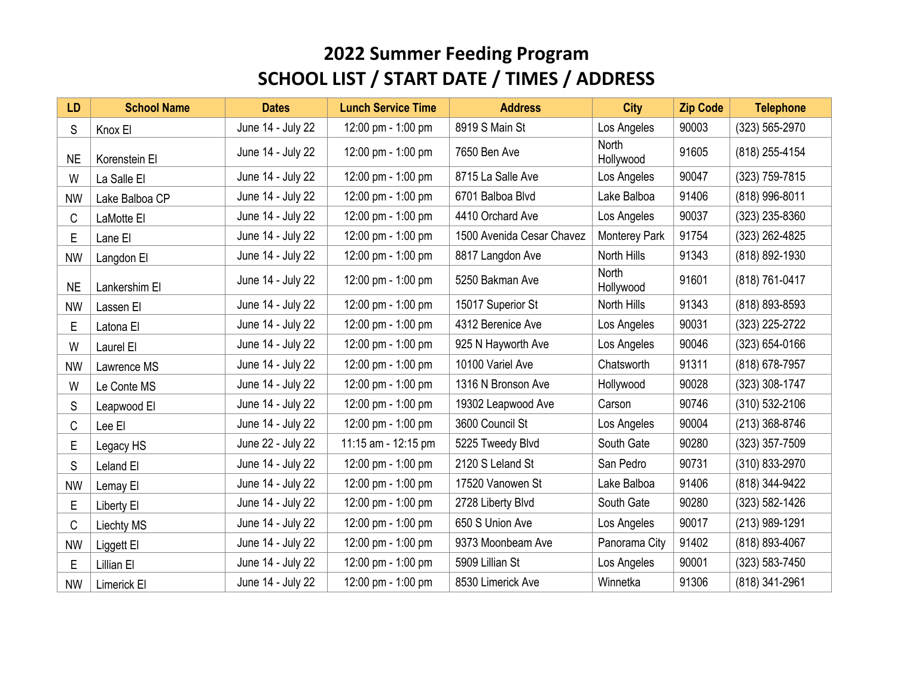| <b>LD</b> | <b>School Name</b> | <b>Dates</b>      | <b>Lunch Service Time</b> | <b>Address</b>            | <b>City</b>               | <b>Zip Code</b> | <b>Telephone</b> |
|-----------|--------------------|-------------------|---------------------------|---------------------------|---------------------------|-----------------|------------------|
| S         | Knox El            | June 14 - July 22 | 12:00 pm - 1:00 pm        | 8919 S Main St            | Los Angeles               | 90003           | (323) 565-2970   |
| <b>NE</b> | Korenstein El      | June 14 - July 22 | 12:00 pm - 1:00 pm        | 7650 Ben Ave              | <b>North</b><br>Hollywood | 91605           | (818) 255-4154   |
| W         | La Salle El        | June 14 - July 22 | 12:00 pm - 1:00 pm        | 8715 La Salle Ave         | Los Angeles               | 90047           | (323) 759-7815   |
| <b>NW</b> | Lake Balboa CP     | June 14 - July 22 | 12:00 pm - 1:00 pm        | 6701 Balboa Blvd          | Lake Balboa               | 91406           | (818) 996-8011   |
| C         | LaMotte El         | June 14 - July 22 | 12:00 pm - 1:00 pm        | 4410 Orchard Ave          | Los Angeles               | 90037           | (323) 235-8360   |
| E         | Lane El            | June 14 - July 22 | 12:00 pm - 1:00 pm        | 1500 Avenida Cesar Chavez | Monterey Park             | 91754           | (323) 262-4825   |
| <b>NW</b> | Langdon El         | June 14 - July 22 | 12:00 pm - 1:00 pm        | 8817 Langdon Ave          | North Hills               | 91343           | (818) 892-1930   |
| <b>NE</b> | Lankershim El      | June 14 - July 22 | 12:00 pm - 1:00 pm        | 5250 Bakman Ave           | <b>North</b><br>Hollywood | 91601           | (818) 761-0417   |
| <b>NW</b> | Lassen El          | June 14 - July 22 | 12:00 pm - 1:00 pm        | 15017 Superior St         | North Hills               | 91343           | (818) 893-8593   |
| E         | Latona El          | June 14 - July 22 | 12:00 pm - 1:00 pm        | 4312 Berenice Ave         | Los Angeles               | 90031           | (323) 225-2722   |
| W         | Laurel El          | June 14 - July 22 | 12:00 pm - 1:00 pm        | 925 N Hayworth Ave        | Los Angeles               | 90046           | (323) 654-0166   |
| <b>NW</b> | Lawrence MS        | June 14 - July 22 | 12:00 pm - 1:00 pm        | 10100 Variel Ave          | Chatsworth                | 91311           | (818) 678-7957   |
| W         | Le Conte MS        | June 14 - July 22 | 12:00 pm - 1:00 pm        | 1316 N Bronson Ave        | Hollywood                 | 90028           | (323) 308-1747   |
| S         | Leapwood El        | June 14 - July 22 | 12:00 pm - 1:00 pm        | 19302 Leapwood Ave        | Carson                    | 90746           | (310) 532-2106   |
| C         | Lee El             | June 14 - July 22 | 12:00 pm - 1:00 pm        | 3600 Council St           | Los Angeles               | 90004           | (213) 368-8746   |
| Е         | Legacy HS          | June 22 - July 22 | 11:15 am - 12:15 pm       | 5225 Tweedy Blvd          | South Gate                | 90280           | (323) 357-7509   |
| S         | Leland El          | June 14 - July 22 | 12:00 pm - 1:00 pm        | 2120 S Leland St          | San Pedro                 | 90731           | (310) 833-2970   |
| <b>NW</b> | Lemay El           | June 14 - July 22 | 12:00 pm - 1:00 pm        | 17520 Vanowen St          | Lake Balboa               | 91406           | (818) 344-9422   |
| Е         | Liberty El         | June 14 - July 22 | 12:00 pm - 1:00 pm        | 2728 Liberty Blvd         | South Gate                | 90280           | (323) 582-1426   |
| C         | <b>Liechty MS</b>  | June 14 - July 22 | 12:00 pm - 1:00 pm        | 650 S Union Ave           | Los Angeles               | 90017           | (213) 989-1291   |
| <b>NW</b> | Liggett El         | June 14 - July 22 | 12:00 pm - 1:00 pm        | 9373 Moonbeam Ave         | Panorama City             | 91402           | (818) 893-4067   |
| Е         | Lillian El         | June 14 - July 22 | 12:00 pm - 1:00 pm        | 5909 Lillian St           | Los Angeles               | 90001           | (323) 583-7450   |
| <b>NW</b> | Limerick El        | June 14 - July 22 | 12:00 pm - 1:00 pm        | 8530 Limerick Ave         | Winnetka                  | 91306           | (818) 341-2961   |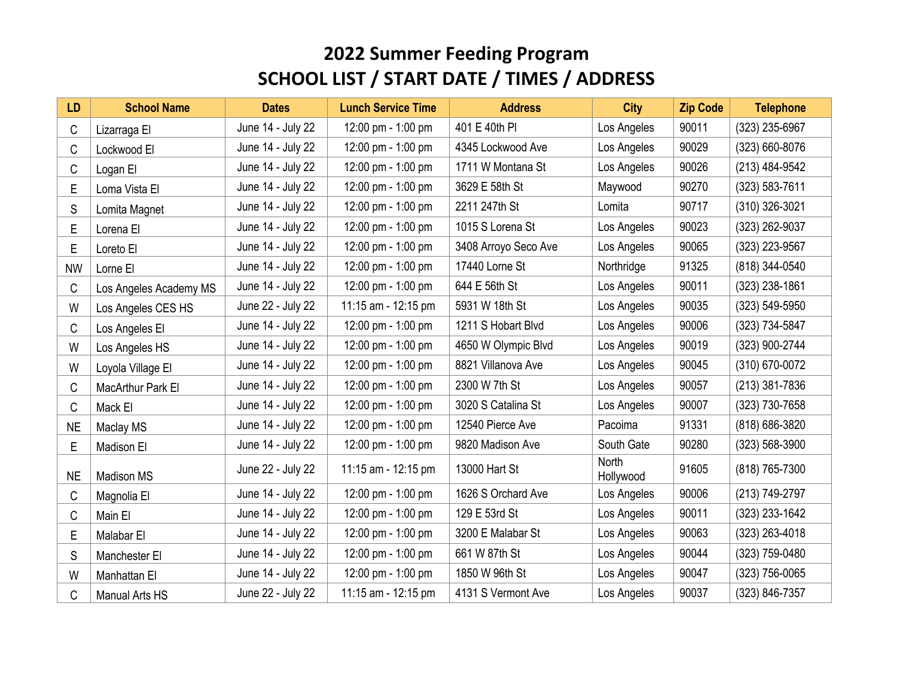| <b>LD</b> | <b>School Name</b>     | <b>Dates</b>      | <b>Lunch Service Time</b> | <b>Address</b>       | <b>City</b>        | <b>Zip Code</b> | <b>Telephone</b> |
|-----------|------------------------|-------------------|---------------------------|----------------------|--------------------|-----------------|------------------|
| C         | Lizarraga El           | June 14 - July 22 | 12:00 pm - 1:00 pm        | 401 E 40th PI        | Los Angeles        | 90011           | (323) 235-6967   |
| C         | Lockwood El            | June 14 - July 22 | 12:00 pm - 1:00 pm        | 4345 Lockwood Ave    | Los Angeles        | 90029           | (323) 660-8076   |
| С         | Logan El               | June 14 - July 22 | 12:00 pm - 1:00 pm        | 1711 W Montana St    | Los Angeles        | 90026           | (213) 484-9542   |
| E         | Loma Vista El          | June 14 - July 22 | 12:00 pm - 1:00 pm        | 3629 E 58th St       | Maywood            | 90270           | (323) 583-7611   |
| S         | Lomita Magnet          | June 14 - July 22 | 12:00 pm - 1:00 pm        | 2211 247th St        | Lomita             | 90717           | (310) 326-3021   |
| E         | Lorena El              | June 14 - July 22 | 12:00 pm - 1:00 pm        | 1015 S Lorena St     | Los Angeles        | 90023           | (323) 262-9037   |
| E         | Loreto El              | June 14 - July 22 | 12:00 pm - 1:00 pm        | 3408 Arroyo Seco Ave | Los Angeles        | 90065           | (323) 223-9567   |
| <b>NW</b> | Lorne El               | June 14 - July 22 | 12:00 pm - 1:00 pm        | 17440 Lorne St       | Northridge         | 91325           | (818) 344-0540   |
| C         | Los Angeles Academy MS | June 14 - July 22 | 12:00 pm - 1:00 pm        | 644 E 56th St        | Los Angeles        | 90011           | (323) 238-1861   |
| W         | Los Angeles CES HS     | June 22 - July 22 | 11:15 am - 12:15 pm       | 5931 W 18th St       | Los Angeles        | 90035           | (323) 549-5950   |
| C         | Los Angeles El         | June 14 - July 22 | 12:00 pm - 1:00 pm        | 1211 S Hobart Blvd   | Los Angeles        | 90006           | (323) 734-5847   |
| W         | Los Angeles HS         | June 14 - July 22 | 12:00 pm - 1:00 pm        | 4650 W Olympic Blvd  | Los Angeles        | 90019           | (323) 900-2744   |
| W         | Loyola Village El      | June 14 - July 22 | 12:00 pm - 1:00 pm        | 8821 Villanova Ave   | Los Angeles        | 90045           | (310) 670-0072   |
| C         | MacArthur Park El      | June 14 - July 22 | 12:00 pm - 1:00 pm        | 2300 W 7th St        | Los Angeles        | 90057           | (213) 381-7836   |
| C         | Mack El                | June 14 - July 22 | 12:00 pm - 1:00 pm        | 3020 S Catalina St   | Los Angeles        | 90007           | (323) 730-7658   |
| <b>NE</b> | Maclay MS              | June 14 - July 22 | 12:00 pm - 1:00 pm        | 12540 Pierce Ave     | Pacoima            | 91331           | (818) 686-3820   |
| E         | Madison El             | June 14 - July 22 | 12:00 pm - 1:00 pm        | 9820 Madison Ave     | South Gate         | 90280           | (323) 568-3900   |
| <b>NE</b> | <b>Madison MS</b>      | June 22 - July 22 | 11:15 am - 12:15 pm       | 13000 Hart St        | North<br>Hollywood | 91605           | (818) 765-7300   |
| C         | Magnolia El            | June 14 - July 22 | 12:00 pm - 1:00 pm        | 1626 S Orchard Ave   | Los Angeles        | 90006           | (213) 749-2797   |
| C         | Main El                | June 14 - July 22 | 12:00 pm - 1:00 pm        | 129 E 53rd St        | Los Angeles        | 90011           | (323) 233-1642   |
| E         | Malabar El             | June 14 - July 22 | 12:00 pm - 1:00 pm        | 3200 E Malabar St    | Los Angeles        | 90063           | (323) 263-4018   |
| S         | Manchester El          | June 14 - July 22 | 12:00 pm - 1:00 pm        | 661 W 87th St        | Los Angeles        | 90044           | (323) 759-0480   |
| W         | Manhattan El           | June 14 - July 22 | 12:00 pm - 1:00 pm        | 1850 W 96th St       | Los Angeles        | 90047           | (323) 756-0065   |
| С         | Manual Arts HS         | June 22 - July 22 | 11:15 am - 12:15 pm       | 4131 S Vermont Ave   | Los Angeles        | 90037           | (323) 846-7357   |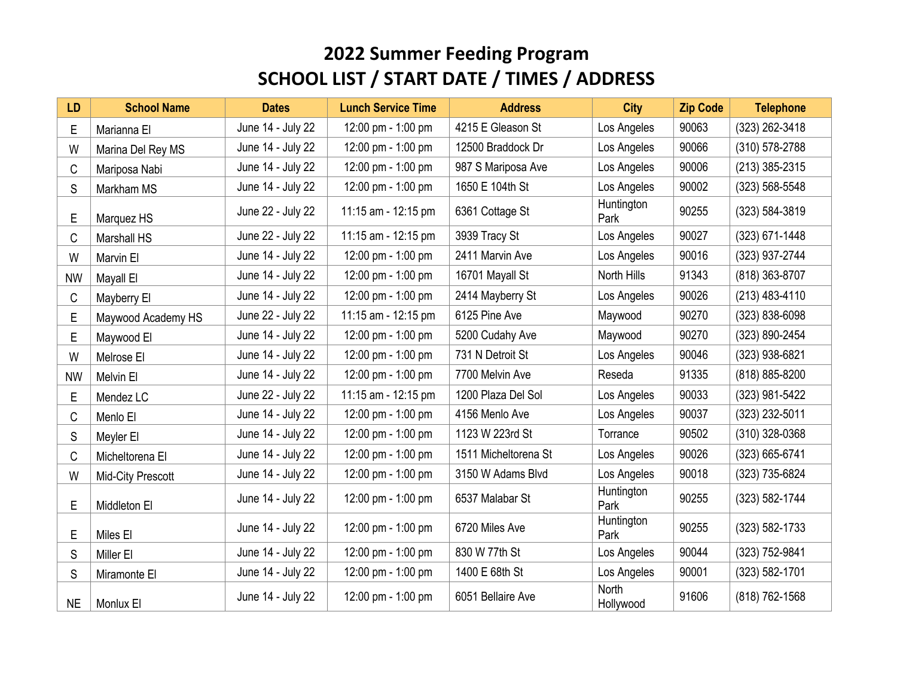| <b>LD</b> | <b>School Name</b> | <b>Dates</b>      | <b>Lunch Service Time</b> | <b>Address</b>       | <b>City</b>        | <b>Zip Code</b> | <b>Telephone</b> |
|-----------|--------------------|-------------------|---------------------------|----------------------|--------------------|-----------------|------------------|
| E         | Marianna El        | June 14 - July 22 | 12:00 pm - 1:00 pm        | 4215 E Gleason St    | Los Angeles        | 90063           | (323) 262-3418   |
| W         | Marina Del Rey MS  | June 14 - July 22 | 12:00 pm - 1:00 pm        | 12500 Braddock Dr    | Los Angeles        | 90066           | (310) 578-2788   |
| C         | Mariposa Nabi      | June 14 - July 22 | 12:00 pm - 1:00 pm        | 987 S Mariposa Ave   | Los Angeles        | 90006           | (213) 385-2315   |
| S         | Markham MS         | June 14 - July 22 | 12:00 pm - 1:00 pm        | 1650 E 104th St      | Los Angeles        | 90002           | (323) 568-5548   |
| E         | Marquez HS         | June 22 - July 22 | 11:15 am - 12:15 pm       | 6361 Cottage St      | Huntington<br>Park | 90255           | (323) 584-3819   |
| C         | Marshall HS        | June 22 - July 22 | 11:15 am - 12:15 pm       | 3939 Tracy St        | Los Angeles        | 90027           | (323) 671-1448   |
| W         | Marvin El          | June 14 - July 22 | 12:00 pm - 1:00 pm        | 2411 Marvin Ave      | Los Angeles        | 90016           | (323) 937-2744   |
| <b>NW</b> | Mayall El          | June 14 - July 22 | 12:00 pm - 1:00 pm        | 16701 Mayall St      | North Hills        | 91343           | (818) 363-8707   |
| C         | Mayberry El        | June 14 - July 22 | 12:00 pm - 1:00 pm        | 2414 Mayberry St     | Los Angeles        | 90026           | (213) 483-4110   |
| E         | Maywood Academy HS | June 22 - July 22 | 11:15 am - 12:15 pm       | 6125 Pine Ave        | Maywood            | 90270           | (323) 838-6098   |
| E         | Maywood El         | June 14 - July 22 | 12:00 pm - 1:00 pm        | 5200 Cudahy Ave      | Maywood            | 90270           | (323) 890-2454   |
| W         | Melrose El         | June 14 - July 22 | 12:00 pm - 1:00 pm        | 731 N Detroit St     | Los Angeles        | 90046           | (323) 938-6821   |
| <b>NW</b> | Melvin El          | June 14 - July 22 | 12:00 pm - 1:00 pm        | 7700 Melvin Ave      | Reseda             | 91335           | (818) 885-8200   |
| E         | Mendez LC          | June 22 - July 22 | 11:15 am - 12:15 pm       | 1200 Plaza Del Sol   | Los Angeles        | 90033           | (323) 981-5422   |
| C         | Menlo El           | June 14 - July 22 | 12:00 pm - 1:00 pm        | 4156 Menlo Ave       | Los Angeles        | 90037           | (323) 232-5011   |
| S         | Meyler El          | June 14 - July 22 | 12:00 pm - 1:00 pm        | 1123 W 223rd St      | Torrance           | 90502           | (310) 328-0368   |
| C         | Micheltorena El    | June 14 - July 22 | 12:00 pm - 1:00 pm        | 1511 Micheltorena St | Los Angeles        | 90026           | (323) 665-6741   |
| W         | Mid-City Prescott  | June 14 - July 22 | 12:00 pm - 1:00 pm        | 3150 W Adams Blvd    | Los Angeles        | 90018           | (323) 735-6824   |
| E         | Middleton El       | June 14 - July 22 | 12:00 pm - 1:00 pm        | 6537 Malabar St      | Huntington<br>Park | 90255           | (323) 582-1744   |
| Ε         | Miles El           | June 14 - July 22 | 12:00 pm - 1:00 pm        | 6720 Miles Ave       | Huntington<br>Park | 90255           | (323) 582-1733   |
| S         | Miller El          | June 14 - July 22 | 12:00 pm - 1:00 pm        | 830 W 77th St        | Los Angeles        | 90044           | (323) 752-9841   |
| S         | Miramonte El       | June 14 - July 22 | 12:00 pm - 1:00 pm        | 1400 E 68th St       | Los Angeles        | 90001           | (323) 582-1701   |
| <b>NE</b> | Monlux El          | June 14 - July 22 | 12:00 pm - 1:00 pm        | 6051 Bellaire Ave    | North<br>Hollywood | 91606           | (818) 762-1568   |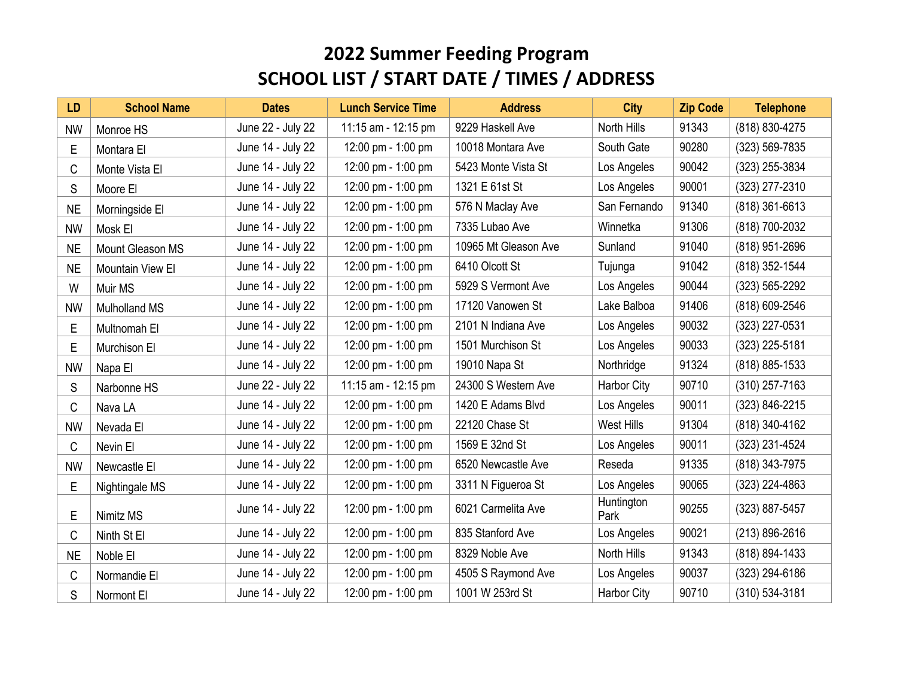| <b>LD</b> | <b>School Name</b>   | <b>Dates</b>      | <b>Lunch Service Time</b> | <b>Address</b>       | <b>City</b>        | <b>Zip Code</b> | <b>Telephone</b> |
|-----------|----------------------|-------------------|---------------------------|----------------------|--------------------|-----------------|------------------|
| <b>NW</b> | Monroe HS            | June 22 - July 22 | 11:15 am - 12:15 pm       | 9229 Haskell Ave     | North Hills        | 91343           | (818) 830-4275   |
| Е         | Montara El           | June 14 - July 22 | 12:00 pm - 1:00 pm        | 10018 Montara Ave    | South Gate         | 90280           | (323) 569-7835   |
| С         | Monte Vista El       | June 14 - July 22 | 12:00 pm - 1:00 pm        | 5423 Monte Vista St  | Los Angeles        | 90042           | (323) 255-3834   |
| S         | Moore El             | June 14 - July 22 | 12:00 pm - 1:00 pm        | 1321 E 61st St       | Los Angeles        | 90001           | (323) 277-2310   |
| <b>NE</b> | Morningside El       | June 14 - July 22 | 12:00 pm - 1:00 pm        | 576 N Maclay Ave     | San Fernando       | 91340           | (818) 361-6613   |
| <b>NW</b> | Mosk El              | June 14 - July 22 | 12:00 pm - 1:00 pm        | 7335 Lubao Ave       | Winnetka           | 91306           | (818) 700-2032   |
| <b>NE</b> | Mount Gleason MS     | June 14 - July 22 | 12:00 pm - 1:00 pm        | 10965 Mt Gleason Ave | Sunland            | 91040           | (818) 951-2696   |
| <b>NE</b> | Mountain View El     | June 14 - July 22 | 12:00 pm - 1:00 pm        | 6410 Olcott St       | Tujunga            | 91042           | (818) 352-1544   |
| W         | Muir MS              | June 14 - July 22 | 12:00 pm - 1:00 pm        | 5929 S Vermont Ave   | Los Angeles        | 90044           | (323) 565-2292   |
| <b>NW</b> | <b>Mulholland MS</b> | June 14 - July 22 | 12:00 pm - 1:00 pm        | 17120 Vanowen St     | Lake Balboa        | 91406           | (818) 609-2546   |
| E         | Multnomah El         | June 14 - July 22 | 12:00 pm - 1:00 pm        | 2101 N Indiana Ave   | Los Angeles        | 90032           | (323) 227-0531   |
| E         | Murchison El         | June 14 - July 22 | 12:00 pm - 1:00 pm        | 1501 Murchison St    | Los Angeles        | 90033           | (323) 225-5181   |
| <b>NW</b> | Napa El              | June 14 - July 22 | 12:00 pm - 1:00 pm        | 19010 Napa St        | Northridge         | 91324           | (818) 885-1533   |
| S         | Narbonne HS          | June 22 - July 22 | 11:15 am - 12:15 pm       | 24300 S Western Ave  | <b>Harbor City</b> | 90710           | $(310)$ 257-7163 |
| C         | Nava LA              | June 14 - July 22 | 12:00 pm - 1:00 pm        | 1420 E Adams Blvd    | Los Angeles        | 90011           | (323) 846-2215   |
| <b>NW</b> | Nevada El            | June 14 - July 22 | 12:00 pm - 1:00 pm        | 22120 Chase St       | <b>West Hills</b>  | 91304           | (818) 340-4162   |
| C         | Nevin El             | June 14 - July 22 | 12:00 pm - 1:00 pm        | 1569 E 32nd St       | Los Angeles        | 90011           | (323) 231-4524   |
| <b>NW</b> | Newcastle El         | June 14 - July 22 | 12:00 pm - 1:00 pm        | 6520 Newcastle Ave   | Reseda             | 91335           | (818) 343-7975   |
| Ε         | Nightingale MS       | June 14 - July 22 | 12:00 pm - 1:00 pm        | 3311 N Figueroa St   | Los Angeles        | 90065           | (323) 224-4863   |
| E         | Nimitz MS            | June 14 - July 22 | 12:00 pm - 1:00 pm        | 6021 Carmelita Ave   | Huntington<br>Park | 90255           | (323) 887-5457   |
| C         | Ninth St El          | June 14 - July 22 | 12:00 pm - 1:00 pm        | 835 Stanford Ave     | Los Angeles        | 90021           | (213) 896-2616   |
| <b>NE</b> | Noble El             | June 14 - July 22 | 12:00 pm - 1:00 pm        | 8329 Noble Ave       | North Hills        | 91343           | (818) 894-1433   |
| C         | Normandie El         | June 14 - July 22 | 12:00 pm - 1:00 pm        | 4505 S Raymond Ave   | Los Angeles        | 90037           | (323) 294-6186   |
| S         | Normont El           | June 14 - July 22 | 12:00 pm - 1:00 pm        | 1001 W 253rd St      | <b>Harbor City</b> | 90710           | (310) 534-3181   |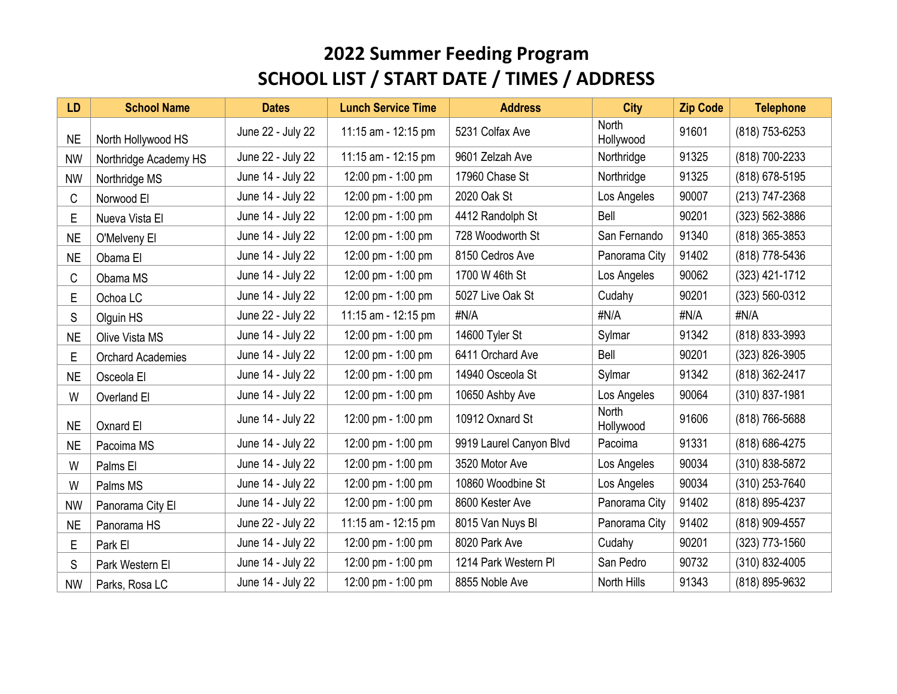| <b>LD</b> | <b>School Name</b>       | <b>Dates</b>      | <b>Lunch Service Time</b> | <b>Address</b>          | <b>City</b>               | <b>Zip Code</b> | <b>Telephone</b> |
|-----------|--------------------------|-------------------|---------------------------|-------------------------|---------------------------|-----------------|------------------|
| <b>NE</b> | North Hollywood HS       | June 22 - July 22 | 11:15 am - 12:15 pm       | 5231 Colfax Ave         | <b>North</b><br>Hollywood | 91601           | (818) 753-6253   |
| <b>NW</b> | Northridge Academy HS    | June 22 - July 22 | 11:15 am - 12:15 pm       | 9601 Zelzah Ave         | Northridge                | 91325           | (818) 700-2233   |
| <b>NW</b> | Northridge MS            | June 14 - July 22 | 12:00 pm - 1:00 pm        | 17960 Chase St          | Northridge                | 91325           | (818) 678-5195   |
| C         | Norwood El               | June 14 - July 22 | 12:00 pm - 1:00 pm        | 2020 Oak St             | Los Angeles               | 90007           | (213) 747-2368   |
| E         | Nueva Vista El           | June 14 - July 22 | 12:00 pm - 1:00 pm        | 4412 Randolph St        | Bell                      | 90201           | (323) 562-3886   |
| <b>NE</b> | O'Melveny El             | June 14 - July 22 | 12:00 pm - 1:00 pm        | 728 Woodworth St        | San Fernando              | 91340           | (818) 365-3853   |
| <b>NE</b> | Obama El                 | June 14 - July 22 | 12:00 pm - 1:00 pm        | 8150 Cedros Ave         | Panorama City             | 91402           | (818) 778-5436   |
| C         | Obama MS                 | June 14 - July 22 | 12:00 pm - 1:00 pm        | 1700 W 46th St          | Los Angeles               | 90062           | (323) 421-1712   |
| E         | Ochoa LC                 | June 14 - July 22 | 12:00 pm - 1:00 pm        | 5027 Live Oak St        | Cudahy                    | 90201           | (323) 560-0312   |
| S         | Olguin HS                | June 22 - July 22 | 11:15 am - 12:15 pm       | #N/A                    | #N/A                      | #N/A            | #N/A             |
| <b>NE</b> | Olive Vista MS           | June 14 - July 22 | 12:00 pm - 1:00 pm        | 14600 Tyler St          | Sylmar                    | 91342           | (818) 833-3993   |
| E         | <b>Orchard Academies</b> | June 14 - July 22 | 12:00 pm - 1:00 pm        | 6411 Orchard Ave        | Bell                      | 90201           | (323) 826-3905   |
| <b>NE</b> | Osceola El               | June 14 - July 22 | 12:00 pm - 1:00 pm        | 14940 Osceola St        | Sylmar                    | 91342           | (818) 362-2417   |
| W         | Overland El              | June 14 - July 22 | 12:00 pm - 1:00 pm        | 10650 Ashby Ave         | Los Angeles               | 90064           | (310) 837-1981   |
| <b>NE</b> | Oxnard El                | June 14 - July 22 | 12:00 pm - 1:00 pm        | 10912 Oxnard St         | North<br>Hollywood        | 91606           | (818) 766-5688   |
| <b>NE</b> | Pacoima MS               | June 14 - July 22 | 12:00 pm - 1:00 pm        | 9919 Laurel Canyon Blvd | Pacoima                   | 91331           | (818) 686-4275   |
| W         | Palms El                 | June 14 - July 22 | 12:00 pm - 1:00 pm        | 3520 Motor Ave          | Los Angeles               | 90034           | (310) 838-5872   |
| W         | Palms MS                 | June 14 - July 22 | 12:00 pm - 1:00 pm        | 10860 Woodbine St       | Los Angeles               | 90034           | (310) 253-7640   |
| <b>NW</b> | Panorama City El         | June 14 - July 22 | 12:00 pm - 1:00 pm        | 8600 Kester Ave         | Panorama City             | 91402           | (818) 895-4237   |
| <b>NE</b> | Panorama HS              | June 22 - July 22 | 11:15 am - 12:15 pm       | 8015 Van Nuys Bl        | Panorama City             | 91402           | (818) 909-4557   |
| Е         | Park El                  | June 14 - July 22 | 12:00 pm - 1:00 pm        | 8020 Park Ave           | Cudahy                    | 90201           | (323) 773-1560   |
| S         | Park Western El          | June 14 - July 22 | 12:00 pm - 1:00 pm        | 1214 Park Western PI    | San Pedro                 | 90732           | (310) 832-4005   |
| <b>NW</b> | Parks, Rosa LC           | June 14 - July 22 | 12:00 pm - 1:00 pm        | 8855 Noble Ave          | North Hills               | 91343           | (818) 895-9632   |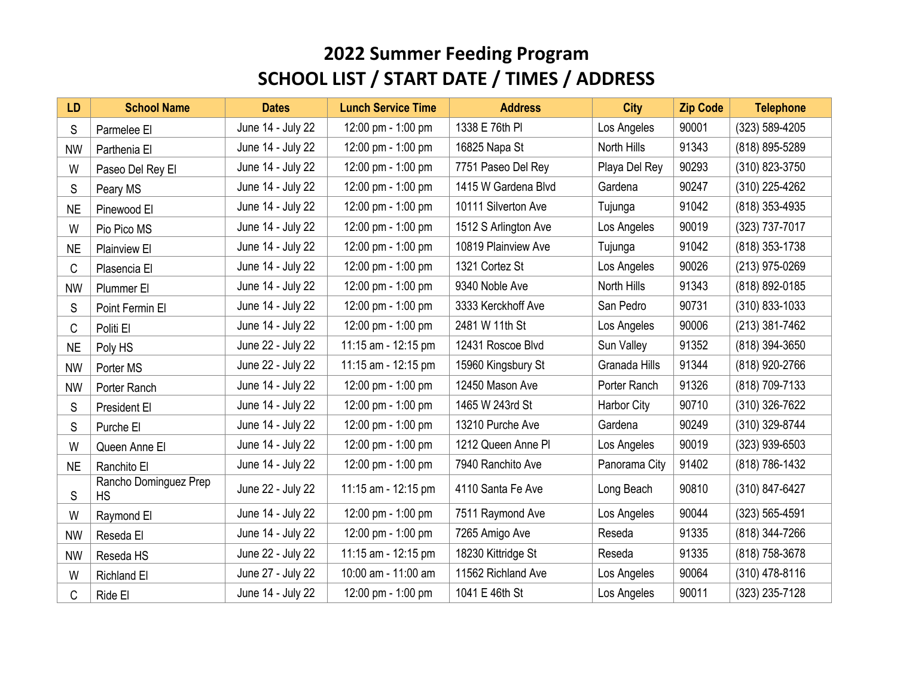| <b>LD</b> | <b>School Name</b>                 | <b>Dates</b>      | <b>Lunch Service Time</b> | <b>Address</b>       | <b>City</b>   | <b>Zip Code</b> | <b>Telephone</b> |
|-----------|------------------------------------|-------------------|---------------------------|----------------------|---------------|-----------------|------------------|
| S         | Parmelee El                        | June 14 - July 22 | 12:00 pm - 1:00 pm        | 1338 E 76th PI       | Los Angeles   | 90001           | (323) 589-4205   |
| <b>NW</b> | Parthenia El                       | June 14 - July 22 | 12:00 pm - 1:00 pm        | 16825 Napa St        | North Hills   | 91343           | (818) 895-5289   |
| W         | Paseo Del Rey El                   | June 14 - July 22 | 12:00 pm - 1:00 pm        | 7751 Paseo Del Rey   | Playa Del Rey | 90293           | (310) 823-3750   |
| S         | Peary MS                           | June 14 - July 22 | 12:00 pm - 1:00 pm        | 1415 W Gardena Blvd  | Gardena       | 90247           | (310) 225-4262   |
| <b>NE</b> | Pinewood El                        | June 14 - July 22 | 12:00 pm - 1:00 pm        | 10111 Silverton Ave  | Tujunga       | 91042           | (818) 353-4935   |
| W         | Pio Pico MS                        | June 14 - July 22 | 12:00 pm - 1:00 pm        | 1512 S Arlington Ave | Los Angeles   | 90019           | (323) 737-7017   |
| <b>NE</b> | <b>Plainview El</b>                | June 14 - July 22 | 12:00 pm - 1:00 pm        | 10819 Plainview Ave  | Tujunga       | 91042           | (818) 353-1738   |
| C         | Plasencia El                       | June 14 - July 22 | 12:00 pm - 1:00 pm        | 1321 Cortez St       | Los Angeles   | 90026           | (213) 975-0269   |
| <b>NW</b> | Plummer El                         | June 14 - July 22 | 12:00 pm - 1:00 pm        | 9340 Noble Ave       | North Hills   | 91343           | (818) 892-0185   |
| S         | Point Fermin El                    | June 14 - July 22 | 12:00 pm - 1:00 pm        | 3333 Kerckhoff Ave   | San Pedro     | 90731           | (310) 833-1033   |
| C         | Politi El                          | June 14 - July 22 | 12:00 pm - 1:00 pm        | 2481 W 11th St       | Los Angeles   | 90006           | (213) 381-7462   |
| <b>NE</b> | Poly HS                            | June 22 - July 22 | 11:15 am - 12:15 pm       | 12431 Roscoe Blvd    | Sun Valley    | 91352           | (818) 394-3650   |
| <b>NW</b> | Porter MS                          | June 22 - July 22 | 11:15 am - 12:15 pm       | 15960 Kingsbury St   | Granada Hills | 91344           | (818) 920-2766   |
| <b>NW</b> | Porter Ranch                       | June 14 - July 22 | 12:00 pm - 1:00 pm        | 12450 Mason Ave      | Porter Ranch  | 91326           | (818) 709-7133   |
| S         | President El                       | June 14 - July 22 | 12:00 pm - 1:00 pm        | 1465 W 243rd St      | Harbor City   | 90710           | (310) 326-7622   |
| S         | Purche El                          | June 14 - July 22 | 12:00 pm - 1:00 pm        | 13210 Purche Ave     | Gardena       | 90249           | (310) 329-8744   |
| W         | Queen Anne El                      | June 14 - July 22 | 12:00 pm - 1:00 pm        | 1212 Queen Anne Pl   | Los Angeles   | 90019           | (323) 939-6503   |
| <b>NE</b> | Ranchito El                        | June 14 - July 22 | 12:00 pm - 1:00 pm        | 7940 Ranchito Ave    | Panorama City | 91402           | (818) 786-1432   |
| S         | Rancho Dominguez Prep<br><b>HS</b> | June 22 - July 22 | 11:15 am - 12:15 pm       | 4110 Santa Fe Ave    | Long Beach    | 90810           | (310) 847-6427   |
| W         | Raymond El                         | June 14 - July 22 | 12:00 pm - 1:00 pm        | 7511 Raymond Ave     | Los Angeles   | 90044           | (323) 565-4591   |
| <b>NW</b> | Reseda El                          | June 14 - July 22 | 12:00 pm - 1:00 pm        | 7265 Amigo Ave       | Reseda        | 91335           | (818) 344-7266   |
| <b>NW</b> | Reseda HS                          | June 22 - July 22 | 11:15 am - 12:15 pm       | 18230 Kittridge St   | Reseda        | 91335           | (818) 758-3678   |
| W         | <b>Richland El</b>                 | June 27 - July 22 | 10:00 am - 11:00 am       | 11562 Richland Ave   | Los Angeles   | 90064           | (310) 478-8116   |
| C         | Ride El                            | June 14 - July 22 | 12:00 pm - 1:00 pm        | 1041 E 46th St       | Los Angeles   | 90011           | (323) 235-7128   |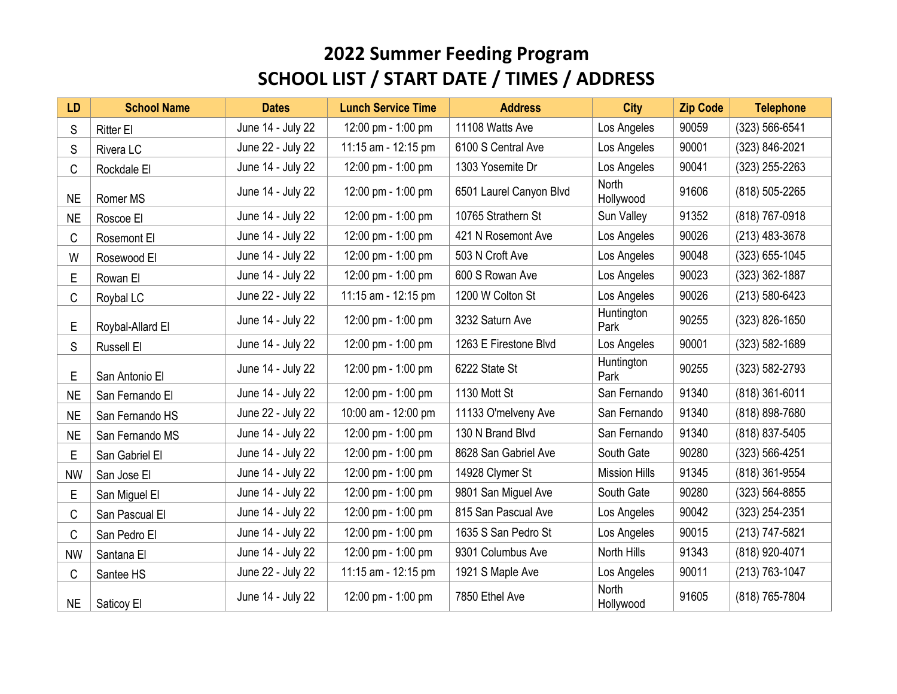| <b>LD</b> | <b>School Name</b> | <b>Dates</b>      | <b>Lunch Service Time</b> | <b>Address</b>          | <b>City</b>          | <b>Zip Code</b> | <b>Telephone</b> |
|-----------|--------------------|-------------------|---------------------------|-------------------------|----------------------|-----------------|------------------|
| S         | <b>Ritter El</b>   | June 14 - July 22 | 12:00 pm - 1:00 pm        | 11108 Watts Ave         | Los Angeles          | 90059           | (323) 566-6541   |
| S         | Rivera LC          | June 22 - July 22 | 11:15 am - 12:15 pm       | 6100 S Central Ave      | Los Angeles          | 90001           | (323) 846-2021   |
| C         | Rockdale El        | June 14 - July 22 | 12:00 pm - 1:00 pm        | 1303 Yosemite Dr        | Los Angeles          | 90041           | (323) 255-2263   |
| <b>NE</b> | Romer MS           | June 14 - July 22 | 12:00 pm - 1:00 pm        | 6501 Laurel Canyon Blvd | North<br>Hollywood   | 91606           | (818) 505-2265   |
| <b>NE</b> | Roscoe El          | June 14 - July 22 | 12:00 pm - 1:00 pm        | 10765 Strathern St      | Sun Valley           | 91352           | (818) 767-0918   |
| C         | Rosemont El        | June 14 - July 22 | 12:00 pm - 1:00 pm        | 421 N Rosemont Ave      | Los Angeles          | 90026           | (213) 483-3678   |
| W         | Rosewood El        | June 14 - July 22 | 12:00 pm - 1:00 pm        | 503 N Croft Ave         | Los Angeles          | 90048           | (323) 655-1045   |
| E         | Rowan El           | June 14 - July 22 | 12:00 pm - 1:00 pm        | 600 S Rowan Ave         | Los Angeles          | 90023           | (323) 362-1887   |
| C         | Roybal LC          | June 22 - July 22 | 11:15 am - 12:15 pm       | 1200 W Colton St        | Los Angeles          | 90026           | (213) 580-6423   |
| E         | Roybal-Allard El   | June 14 - July 22 | 12:00 pm - 1:00 pm        | 3232 Saturn Ave         | Huntington<br>Park   | 90255           | (323) 826-1650   |
| S         | Russell El         | June 14 - July 22 | 12:00 pm - 1:00 pm        | 1263 E Firestone Blvd   | Los Angeles          | 90001           | (323) 582-1689   |
| E         | San Antonio El     | June 14 - July 22 | 12:00 pm - 1:00 pm        | 6222 State St           | Huntington<br>Park   | 90255           | (323) 582-2793   |
| <b>NE</b> | San Fernando El    | June 14 - July 22 | 12:00 pm - 1:00 pm        | 1130 Mott St            | San Fernando         | 91340           | (818) 361-6011   |
| <b>NE</b> | San Fernando HS    | June 22 - July 22 | 10:00 am - 12:00 pm       | 11133 O'melveny Ave     | San Fernando         | 91340           | (818) 898-7680   |
| <b>NE</b> | San Fernando MS    | June 14 - July 22 | 12:00 pm - 1:00 pm        | 130 N Brand Blvd        | San Fernando         | 91340           | (818) 837-5405   |
| E         | San Gabriel El     | June 14 - July 22 | 12:00 pm - 1:00 pm        | 8628 San Gabriel Ave    | South Gate           | 90280           | (323) 566-4251   |
| <b>NW</b> | San Jose El        | June 14 - July 22 | 12:00 pm - 1:00 pm        | 14928 Clymer St         | <b>Mission Hills</b> | 91345           | (818) 361-9554   |
| E         | San Miguel El      | June 14 - July 22 | 12:00 pm - 1:00 pm        | 9801 San Miguel Ave     | South Gate           | 90280           | (323) 564-8855   |
| C         | San Pascual El     | June 14 - July 22 | 12:00 pm - 1:00 pm        | 815 San Pascual Ave     | Los Angeles          | 90042           | (323) 254-2351   |
| C         | San Pedro El       | June 14 - July 22 | 12:00 pm - 1:00 pm        | 1635 S San Pedro St     | Los Angeles          | 90015           | (213) 747-5821   |
| <b>NW</b> | Santana El         | June 14 - July 22 | 12:00 pm - 1:00 pm        | 9301 Columbus Ave       | North Hills          | 91343           | (818) 920-4071   |
| C         | Santee HS          | June 22 - July 22 | 11:15 am - 12:15 pm       | 1921 S Maple Ave        | Los Angeles          | 90011           | (213) 763-1047   |
| <b>NE</b> | Saticoy El         | June 14 - July 22 | 12:00 pm - 1:00 pm        | 7850 Ethel Ave          | North<br>Hollywood   | 91605           | (818) 765-7804   |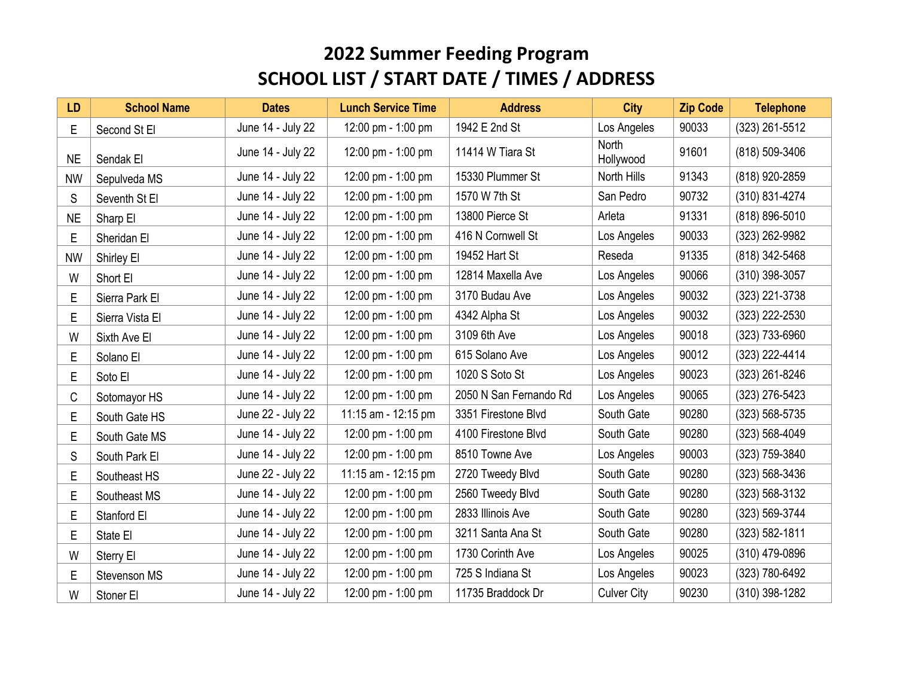| <b>LD</b> | <b>School Name</b> | <b>Dates</b>      | <b>Lunch Service Time</b> | <b>Address</b>         | <b>City</b>        | <b>Zip Code</b> | <b>Telephone</b>   |
|-----------|--------------------|-------------------|---------------------------|------------------------|--------------------|-----------------|--------------------|
| E         | Second St El       | June 14 - July 22 | 12:00 pm - 1:00 pm        | 1942 E 2nd St          | Los Angeles        | 90033           | (323) 261-5512     |
| <b>NE</b> | Sendak El          | June 14 - July 22 | 12:00 pm - 1:00 pm        | 11414 W Tiara St       | North<br>Hollywood | 91601           | (818) 509-3406     |
| <b>NW</b> | Sepulveda MS       | June 14 - July 22 | 12:00 pm - 1:00 pm        | 15330 Plummer St       | North Hills        | 91343           | (818) 920-2859     |
| S         | Seventh St El      | June 14 - July 22 | 12:00 pm - 1:00 pm        | 1570 W 7th St          | San Pedro          | 90732           | (310) 831-4274     |
| <b>NE</b> | Sharp El           | June 14 - July 22 | 12:00 pm - 1:00 pm        | 13800 Pierce St        | Arleta             | 91331           | (818) 896-5010     |
| Е         | Sheridan El        | June 14 - July 22 | 12:00 pm - 1:00 pm        | 416 N Cornwell St      | Los Angeles        | 90033           | (323) 262-9982     |
| <b>NW</b> | Shirley El         | June 14 - July 22 | 12:00 pm - 1:00 pm        | 19452 Hart St          | Reseda             | 91335           | (818) 342-5468     |
| W         | Short El           | June 14 - July 22 | 12:00 pm - 1:00 pm        | 12814 Maxella Ave      | Los Angeles        | 90066           | (310) 398-3057     |
| Е         | Sierra Park El     | June 14 - July 22 | 12:00 pm - 1:00 pm        | 3170 Budau Ave         | Los Angeles        | 90032           | (323) 221-3738     |
| E         | Sierra Vista El    | June 14 - July 22 | 12:00 pm - 1:00 pm        | 4342 Alpha St          | Los Angeles        | 90032           | (323) 222-2530     |
| W         | Sixth Ave El       | June 14 - July 22 | 12:00 pm - 1:00 pm        | 3109 6th Ave           | Los Angeles        | 90018           | (323) 733-6960     |
| E         | Solano El          | June 14 - July 22 | 12:00 pm - 1:00 pm        | 615 Solano Ave         | Los Angeles        | 90012           | (323) 222-4414     |
| E         | Soto El            | June 14 - July 22 | 12:00 pm - 1:00 pm        | 1020 S Soto St         | Los Angeles        | 90023           | (323) 261-8246     |
| C         | Sotomayor HS       | June 14 - July 22 | 12:00 pm - 1:00 pm        | 2050 N San Fernando Rd | Los Angeles        | 90065           | (323) 276-5423     |
| Е         | South Gate HS      | June 22 - July 22 | 11:15 am - 12:15 pm       | 3351 Firestone Blvd    | South Gate         | 90280           | $(323) 568 - 5735$ |
| E         | South Gate MS      | June 14 - July 22 | 12:00 pm - 1:00 pm        | 4100 Firestone Blvd    | South Gate         | 90280           | (323) 568-4049     |
| S         | South Park El      | June 14 - July 22 | 12:00 pm - 1:00 pm        | 8510 Towne Ave         | Los Angeles        | 90003           | (323) 759-3840     |
| E         | Southeast HS       | June 22 - July 22 | 11:15 am - 12:15 pm       | 2720 Tweedy Blvd       | South Gate         | 90280           | (323) 568-3436     |
| E         | Southeast MS       | June 14 - July 22 | 12:00 pm - 1:00 pm        | 2560 Tweedy Blvd       | South Gate         | 90280           | (323) 568-3132     |
| E         | Stanford El        | June 14 - July 22 | 12:00 pm - 1:00 pm        | 2833 Illinois Ave      | South Gate         | 90280           | (323) 569-3744     |
| E         | State El           | June 14 - July 22 | 12:00 pm - 1:00 pm        | 3211 Santa Ana St      | South Gate         | 90280           | (323) 582-1811     |
| W         | Sterry El          | June 14 - July 22 | 12:00 pm - 1:00 pm        | 1730 Corinth Ave       | Los Angeles        | 90025           | (310) 479-0896     |
| Е         | Stevenson MS       | June 14 - July 22 | 12:00 pm - 1:00 pm        | 725 S Indiana St       | Los Angeles        | 90023           | (323) 780-6492     |
| W         | Stoner El          | June 14 - July 22 | 12:00 pm - 1:00 pm        | 11735 Braddock Dr      | <b>Culver City</b> | 90230           | (310) 398-1282     |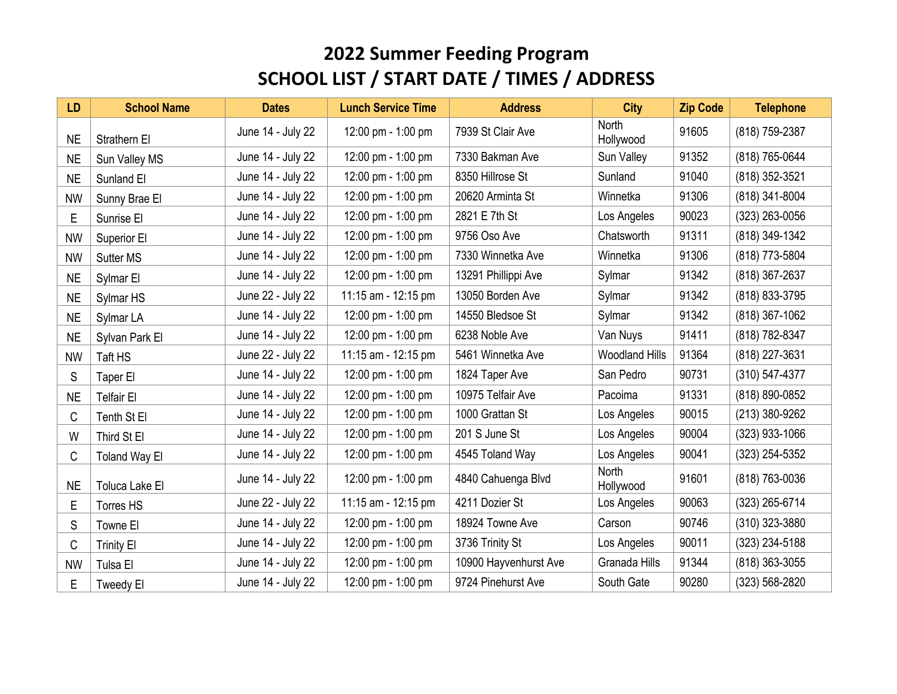| <b>LD</b> | <b>School Name</b>   | <b>Dates</b>      | <b>Lunch Service Time</b> | <b>Address</b>        | <b>City</b>           | <b>Zip Code</b> | <b>Telephone</b> |
|-----------|----------------------|-------------------|---------------------------|-----------------------|-----------------------|-----------------|------------------|
| <b>NE</b> | Strathern El         | June 14 - July 22 | 12:00 pm - 1:00 pm        | 7939 St Clair Ave     | North<br>Hollywood    | 91605           | (818) 759-2387   |
| <b>NE</b> | Sun Valley MS        | June 14 - July 22 | 12:00 pm - 1:00 pm        | 7330 Bakman Ave       | Sun Valley            | 91352           | (818) 765-0644   |
| <b>NE</b> | Sunland El           | June 14 - July 22 | 12:00 pm - 1:00 pm        | 8350 Hillrose St      | Sunland               | 91040           | (818) 352-3521   |
| <b>NW</b> | Sunny Brae El        | June 14 - July 22 | 12:00 pm - 1:00 pm        | 20620 Arminta St      | Winnetka              | 91306           | (818) 341-8004   |
| E         | Sunrise El           | June 14 - July 22 | 12:00 pm - 1:00 pm        | 2821 E 7th St         | Los Angeles           | 90023           | (323) 263-0056   |
| <b>NW</b> | Superior El          | June 14 - July 22 | 12:00 pm - 1:00 pm        | 9756 Oso Ave          | Chatsworth            | 91311           | (818) 349-1342   |
| <b>NW</b> | Sutter MS            | June 14 - July 22 | 12:00 pm - 1:00 pm        | 7330 Winnetka Ave     | Winnetka              | 91306           | (818) 773-5804   |
| <b>NE</b> | Sylmar El            | June 14 - July 22 | 12:00 pm - 1:00 pm        | 13291 Phillippi Ave   | Sylmar                | 91342           | (818) 367-2637   |
| <b>NE</b> | Sylmar HS            | June 22 - July 22 | 11:15 am - 12:15 pm       | 13050 Borden Ave      | Sylmar                | 91342           | (818) 833-3795   |
| <b>NE</b> | Sylmar LA            | June 14 - July 22 | 12:00 pm - 1:00 pm        | 14550 Bledsoe St      | Sylmar                | 91342           | (818) 367-1062   |
| <b>NE</b> | Sylvan Park El       | June 14 - July 22 | 12:00 pm - 1:00 pm        | 6238 Noble Ave        | Van Nuys              | 91411           | (818) 782-8347   |
| <b>NW</b> | Taft HS              | June 22 - July 22 | 11:15 am - 12:15 pm       | 5461 Winnetka Ave     | <b>Woodland Hills</b> | 91364           | (818) 227-3631   |
| S         | Taper El             | June 14 - July 22 | 12:00 pm - 1:00 pm        | 1824 Taper Ave        | San Pedro             | 90731           | (310) 547-4377   |
| <b>NE</b> | <b>Telfair El</b>    | June 14 - July 22 | 12:00 pm - 1:00 pm        | 10975 Telfair Ave     | Pacoima               | 91331           | (818) 890-0852   |
| С         | Tenth St El          | June 14 - July 22 | 12:00 pm - 1:00 pm        | 1000 Grattan St       | Los Angeles           | 90015           | (213) 380-9262   |
| W         | Third St El          | June 14 - July 22 | 12:00 pm - 1:00 pm        | 201 S June St         | Los Angeles           | 90004           | (323) 933-1066   |
| С         | <b>Toland Way El</b> | June 14 - July 22 | 12:00 pm - 1:00 pm        | 4545 Toland Way       | Los Angeles           | 90041           | (323) 254-5352   |
| <b>NE</b> | Toluca Lake El       | June 14 - July 22 | 12:00 pm - 1:00 pm        | 4840 Cahuenga Blvd    | North<br>Hollywood    | 91601           | (818) 763-0036   |
| Е         | Torres HS            | June 22 - July 22 | 11:15 am - 12:15 pm       | 4211 Dozier St        | Los Angeles           | 90063           | (323) 265-6714   |
| S         | Towne El             | June 14 - July 22 | 12:00 pm - 1:00 pm        | 18924 Towne Ave       | Carson                | 90746           | $(310)$ 323-3880 |
| C         | <b>Trinity El</b>    | June 14 - July 22 | 12:00 pm - 1:00 pm        | 3736 Trinity St       | Los Angeles           | 90011           | (323) 234-5188   |
| <b>NW</b> | Tulsa El             | June 14 - July 22 | 12:00 pm - 1:00 pm        | 10900 Hayvenhurst Ave | Granada Hills         | 91344           | (818) 363-3055   |
| E         | Tweedy El            | June 14 - July 22 | 12:00 pm - 1:00 pm        | 9724 Pinehurst Ave    | South Gate            | 90280           | (323) 568-2820   |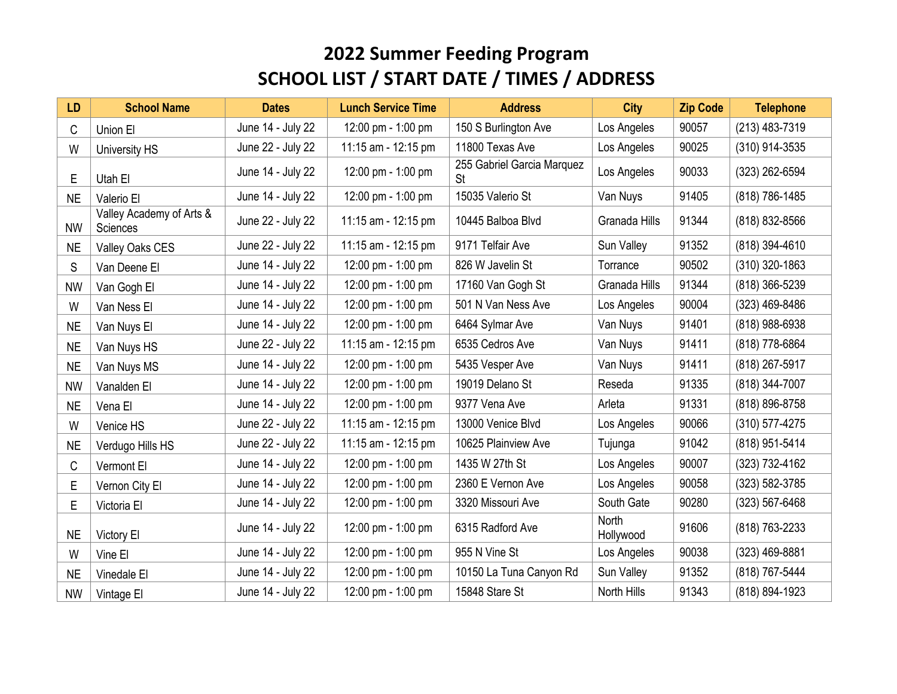| <b>LD</b> | <b>School Name</b>                          | <b>Dates</b>      | <b>Lunch Service Time</b> | <b>Address</b>                   | <b>City</b>               | <b>Zip Code</b> | <b>Telephone</b>   |
|-----------|---------------------------------------------|-------------------|---------------------------|----------------------------------|---------------------------|-----------------|--------------------|
| C         | Union El                                    | June 14 - July 22 | 12:00 pm - 1:00 pm        | 150 S Burlington Ave             | Los Angeles               | 90057           | (213) 483-7319     |
| W         | University HS                               | June 22 - July 22 | 11:15 am - 12:15 pm       | 11800 Texas Ave                  | Los Angeles               | 90025           | (310) 914-3535     |
| E         | Utah El                                     | June 14 - July 22 | 12:00 pm - 1:00 pm        | 255 Gabriel Garcia Marquez<br>St | Los Angeles               | 90033           | (323) 262-6594     |
| <b>NE</b> | Valerio El                                  | June 14 - July 22 | 12:00 pm - 1:00 pm        | 15035 Valerio St                 | Van Nuys                  | 91405           | (818) 786-1485     |
| <b>NW</b> | Valley Academy of Arts &<br><b>Sciences</b> | June 22 - July 22 | 11:15 am - 12:15 pm       | 10445 Balboa Blvd                | Granada Hills             | 91344           | (818) 832-8566     |
| <b>NE</b> | Valley Oaks CES                             | June 22 - July 22 | 11:15 am - 12:15 pm       | 9171 Telfair Ave                 | Sun Valley                | 91352           | (818) 394-4610     |
| S         | Van Deene El                                | June 14 - July 22 | 12:00 pm - 1:00 pm        | 826 W Javelin St                 | Torrance                  | 90502           | (310) 320-1863     |
| <b>NW</b> | Van Gogh El                                 | June 14 - July 22 | 12:00 pm - 1:00 pm        | 17160 Van Gogh St                | Granada Hills             | 91344           | (818) 366-5239     |
| W         | Van Ness El                                 | June 14 - July 22 | 12:00 pm - 1:00 pm        | 501 N Van Ness Ave               | Los Angeles               | 90004           | (323) 469-8486     |
| <b>NE</b> | Van Nuys El                                 | June 14 - July 22 | 12:00 pm - 1:00 pm        | 6464 Sylmar Ave                  | Van Nuys                  | 91401           | (818) 988-6938     |
| <b>NE</b> | Van Nuys HS                                 | June 22 - July 22 | 11:15 am - 12:15 pm       | 6535 Cedros Ave                  | Van Nuys                  | 91411           | (818) 778-6864     |
| <b>NE</b> | Van Nuys MS                                 | June 14 - July 22 | 12:00 pm - 1:00 pm        | 5435 Vesper Ave                  | Van Nuys                  | 91411           | (818) 267-5917     |
| <b>NW</b> | Vanalden El                                 | June 14 - July 22 | 12:00 pm - 1:00 pm        | 19019 Delano St                  | Reseda                    | 91335           | (818) 344-7007     |
| <b>NE</b> | Vena El                                     | June 14 - July 22 | 12:00 pm - 1:00 pm        | 9377 Vena Ave                    | Arleta                    | 91331           | (818) 896-8758     |
| W         | Venice HS                                   | June 22 - July 22 | 11:15 am - 12:15 pm       | 13000 Venice Blvd                | Los Angeles               | 90066           | (310) 577-4275     |
| <b>NE</b> | Verdugo Hills HS                            | June 22 - July 22 | 11:15 am - 12:15 pm       | 10625 Plainview Ave              | Tujunga                   | 91042           | (818) 951-5414     |
| C         | Vermont El                                  | June 14 - July 22 | 12:00 pm - 1:00 pm        | 1435 W 27th St                   | Los Angeles               | 90007           | (323) 732-4162     |
| E         | Vernon City El                              | June 14 - July 22 | 12:00 pm - 1:00 pm        | 2360 E Vernon Ave                | Los Angeles               | 90058           | (323) 582-3785     |
| E         | Victoria El                                 | June 14 - July 22 | 12:00 pm - 1:00 pm        | 3320 Missouri Ave                | South Gate                | 90280           | $(323) 567 - 6468$ |
| <b>NE</b> | Victory El                                  | June 14 - July 22 | 12:00 pm - 1:00 pm        | 6315 Radford Ave                 | <b>North</b><br>Hollywood | 91606           | (818) 763-2233     |
| W         | Vine El                                     | June 14 - July 22 | 12:00 pm - 1:00 pm        | 955 N Vine St                    | Los Angeles               | 90038           | (323) 469-8881     |
| <b>NE</b> | Vinedale El                                 | June 14 - July 22 | 12:00 pm - 1:00 pm        | 10150 La Tuna Canyon Rd          | Sun Valley                | 91352           | (818) 767-5444     |
| <b>NW</b> | Vintage El                                  | June 14 - July 22 | 12:00 pm - 1:00 pm        | 15848 Stare St                   | North Hills               | 91343           | (818) 894-1923     |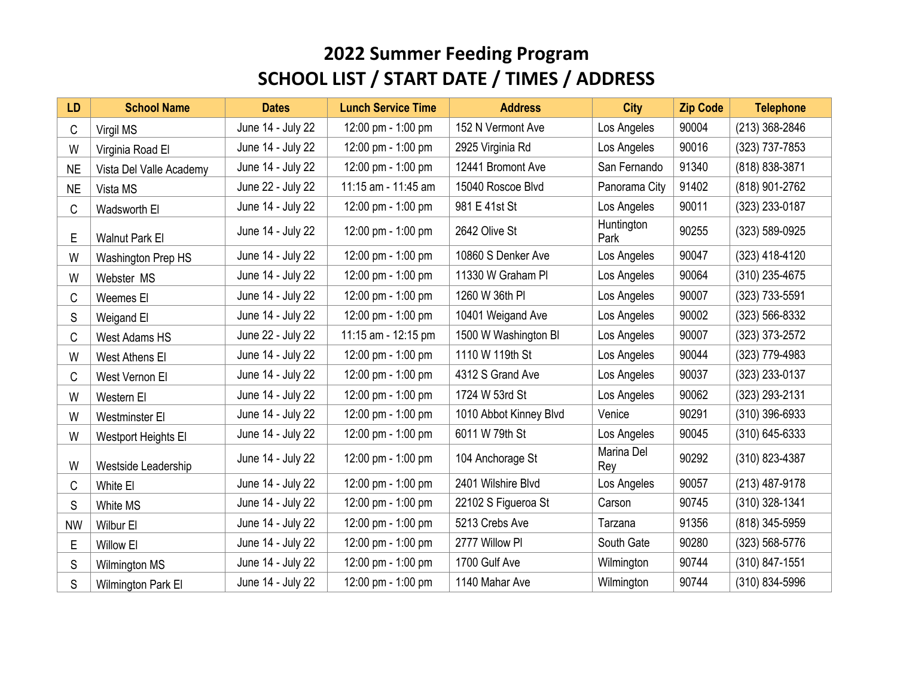| <b>LD</b> | <b>School Name</b>      | <b>Dates</b>      | <b>Lunch Service Time</b> | <b>Address</b>         | <b>City</b>        | <b>Zip Code</b> | <b>Telephone</b> |
|-----------|-------------------------|-------------------|---------------------------|------------------------|--------------------|-----------------|------------------|
| С         | Virgil MS               | June 14 - July 22 | 12:00 pm - 1:00 pm        | 152 N Vermont Ave      | Los Angeles        | 90004           | (213) 368-2846   |
| W         | Virginia Road El        | June 14 - July 22 | 12:00 pm - 1:00 pm        | 2925 Virginia Rd       | Los Angeles        | 90016           | (323) 737-7853   |
| <b>NE</b> | Vista Del Valle Academy | June 14 - July 22 | 12:00 pm - 1:00 pm        | 12441 Bromont Ave      | San Fernando       | 91340           | (818) 838-3871   |
| <b>NE</b> | Vista MS                | June 22 - July 22 | 11:15 am - 11:45 am       | 15040 Roscoe Blvd      | Panorama City      | 91402           | (818) 901-2762   |
| C         | Wadsworth El            | June 14 - July 22 | 12:00 pm - 1:00 pm        | 981 E 41st St          | Los Angeles        | 90011           | (323) 233-0187   |
| E         | <b>Walnut Park El</b>   | June 14 - July 22 | 12:00 pm - 1:00 pm        | 2642 Olive St          | Huntington<br>Park | 90255           | (323) 589-0925   |
| W         | Washington Prep HS      | June 14 - July 22 | 12:00 pm - 1:00 pm        | 10860 S Denker Ave     | Los Angeles        | 90047           | (323) 418-4120   |
| W         | Webster MS              | June 14 - July 22 | 12:00 pm - 1:00 pm        | 11330 W Graham PI      | Los Angeles        | 90064           | (310) 235-4675   |
| C         | Weemes El               | June 14 - July 22 | 12:00 pm - 1:00 pm        | 1260 W 36th PI         | Los Angeles        | 90007           | (323) 733-5591   |
| S         | Weigand El              | June 14 - July 22 | 12:00 pm - 1:00 pm        | 10401 Weigand Ave      | Los Angeles        | 90002           | (323) 566-8332   |
| C         | West Adams HS           | June 22 - July 22 | 11:15 am - 12:15 pm       | 1500 W Washington BI   | Los Angeles        | 90007           | (323) 373-2572   |
| W         | West Athens El          | June 14 - July 22 | 12:00 pm - 1:00 pm        | 1110 W 119th St        | Los Angeles        | 90044           | (323) 779-4983   |
| С         | West Vernon El          | June 14 - July 22 | 12:00 pm - 1:00 pm        | 4312 S Grand Ave       | Los Angeles        | 90037           | (323) 233-0137   |
| W         | Western El              | June 14 - July 22 | 12:00 pm - 1:00 pm        | 1724 W 53rd St         | Los Angeles        | 90062           | (323) 293-2131   |
| W         | <b>Westminster El</b>   | June 14 - July 22 | 12:00 pm - 1:00 pm        | 1010 Abbot Kinney Blvd | Venice             | 90291           | $(310)$ 396-6933 |
| W         | Westport Heights El     | June 14 - July 22 | 12:00 pm - 1:00 pm        | 6011 W 79th St         | Los Angeles        | 90045           | $(310)$ 645-6333 |
| W         | Westside Leadership     | June 14 - July 22 | 12:00 pm - 1:00 pm        | 104 Anchorage St       | Marina Del<br>Rey  | 90292           | (310) 823-4387   |
| C         | White El                | June 14 - July 22 | 12:00 pm - 1:00 pm        | 2401 Wilshire Blvd     | Los Angeles        | 90057           | (213) 487-9178   |
| S         | White MS                | June 14 - July 22 | 12:00 pm - 1:00 pm        | 22102 S Figueroa St    | Carson             | 90745           | (310) 328-1341   |
| <b>NW</b> | Wilbur El               | June 14 - July 22 | 12:00 pm - 1:00 pm        | 5213 Crebs Ave         | Tarzana            | 91356           | (818) 345-5959   |
| E         | Willow El               | June 14 - July 22 | 12:00 pm - 1:00 pm        | 2777 Willow PI         | South Gate         | 90280           | (323) 568-5776   |
| S         | <b>Wilmington MS</b>    | June 14 - July 22 | 12:00 pm - 1:00 pm        | 1700 Gulf Ave          | Wilmington         | 90744           | (310) 847-1551   |
| S         | Wilmington Park El      | June 14 - July 22 | 12:00 pm - 1:00 pm        | 1140 Mahar Ave         | Wilmington         | 90744           | (310) 834-5996   |